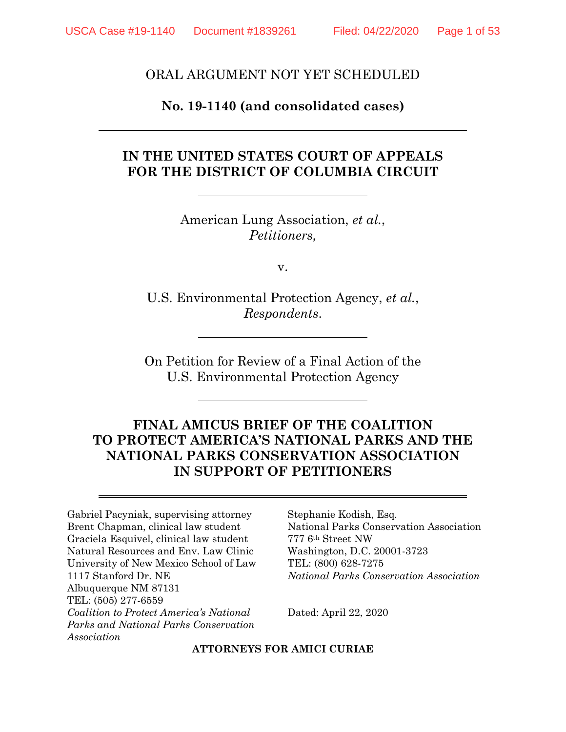#### ORAL ARGUMENT NOT YET SCHEDULED

#### **No. 19-1140 (and consolidated cases)**

#### **IN THE UNITED STATES COURT OF APPEALS FOR THE DISTRICT OF COLUMBIA CIRCUIT**

American Lung Association, *et al.*, *Petitioners,*

v.

U.S. Environmental Protection Agency, *et al.*, *Respondents*.

On Petition for Review of a Final Action of the U.S. Environmental Protection Agency

### **FINAL AMICUS BRIEF OF THE COALITION TO PROTECT AMERICA'S NATIONAL PARKS AND THE NATIONAL PARKS CONSERVATION ASSOCIATION IN SUPPORT OF PETITIONERS**

Gabriel Pacyniak, supervising attorney Brent Chapman, clinical law student Graciela Esquivel, clinical law student Natural Resources and Env. Law Clinic University of New Mexico School of Law 1117 Stanford Dr. NE Albuquerque NM 87131 TEL: (505) 277-6559 *Coalition to Protect America's National Parks and National Parks Conservation Association*

Stephanie Kodish, Esq. National Parks Conservation Association 777 6th Street NW Washington, D.C. 20001-3723 TEL: (800) 628-7275 *National Parks Conservation Association*

Dated: April 22, 2020

**ATTORNEYS FOR AMICI CURIAE**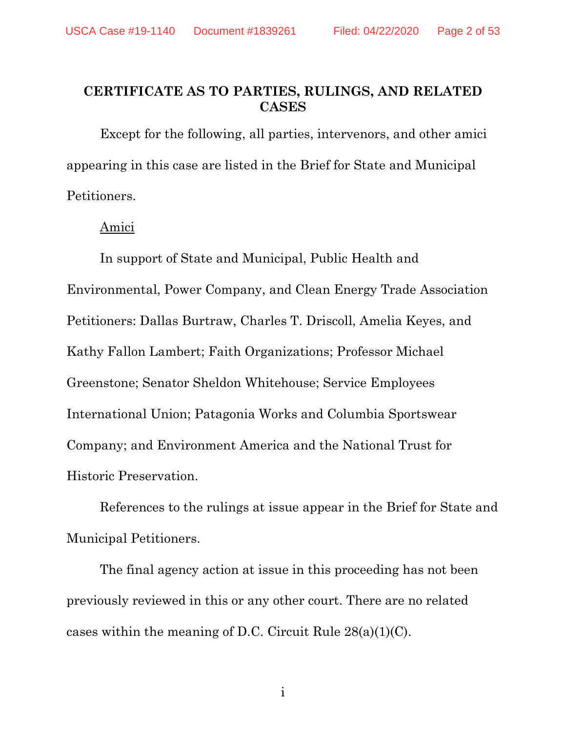#### **CERTIFICATE AS TO PARTIES, RULINGS, AND RELATED CASES**

Except for the following, all parties, intervenors, and other amici appearing in this case are listed in the Brief for State and Municipal Petitioners.

#### Amici

In support of State and Municipal, Public Health and Environmental, Power Company, and Clean Energy Trade Association Petitioners: Dallas Burtraw, Charles T. Driscoll, Amelia Keyes, and Kathy Fallon Lambert; Faith Organizations; Professor Michael Greenstone; Senator Sheldon Whitehouse; Service Employees International Union; Patagonia Works and Columbia Sportswear Company; and Environment America and the National Trust for Historic Preservation.

References to the rulings at issue appear in the Brief for State and Municipal Petitioners.

The final agency action at issue in this proceeding has not been previously reviewed in this or any other court. There are no related cases within the meaning of D.C. Circuit Rule 28(a)(1)(C).

i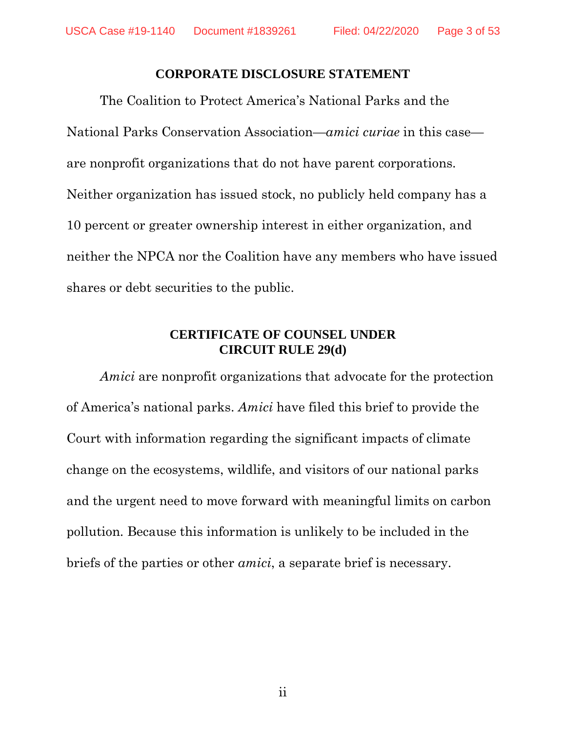#### **CORPORATE DISCLOSURE STATEMENT**

The Coalition to Protect America's National Parks and the National Parks Conservation Association—*amici curiae* in this case are nonprofit organizations that do not have parent corporations. Neither organization has issued stock, no publicly held company has a 10 percent or greater ownership interest in either organization, and neither the NPCA nor the Coalition have any members who have issued shares or debt securities to the public.

#### **CERTIFICATE OF COUNSEL UNDER CIRCUIT RULE 29(d)**

*Amici* are nonprofit organizations that advocate for the protection of America's national parks. *Amici* have filed this brief to provide the Court with information regarding the significant impacts of climate change on the ecosystems, wildlife, and visitors of our national parks and the urgent need to move forward with meaningful limits on carbon pollution. Because this information is unlikely to be included in the briefs of the parties or other *amici*, a separate brief is necessary.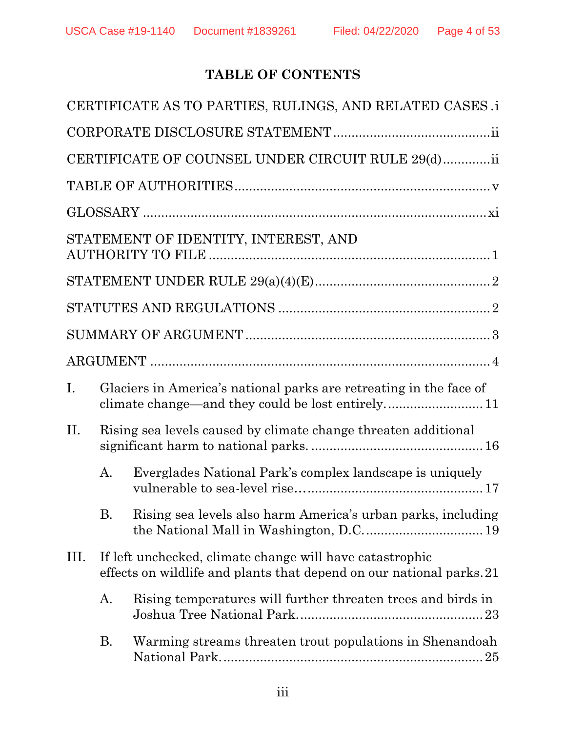# **TABLE OF CONTENTS**

|             |                                                                                                                                  | CERTIFICATE AS TO PARTIES, RULINGS, AND RELATED CASES .i                                                               |  |
|-------------|----------------------------------------------------------------------------------------------------------------------------------|------------------------------------------------------------------------------------------------------------------------|--|
|             |                                                                                                                                  |                                                                                                                        |  |
|             |                                                                                                                                  | CERTIFICATE OF COUNSEL UNDER CIRCUIT RULE 29(d)ii                                                                      |  |
|             |                                                                                                                                  |                                                                                                                        |  |
|             |                                                                                                                                  |                                                                                                                        |  |
|             |                                                                                                                                  | STATEMENT OF IDENTITY, INTEREST, AND                                                                                   |  |
|             |                                                                                                                                  |                                                                                                                        |  |
|             |                                                                                                                                  |                                                                                                                        |  |
|             |                                                                                                                                  |                                                                                                                        |  |
|             |                                                                                                                                  |                                                                                                                        |  |
| $I_{\cdot}$ |                                                                                                                                  | Glaciers in America's national parks are retreating in the face of<br>climate change—and they could be lost entirely11 |  |
| II.         | Rising sea levels caused by climate change threaten additional                                                                   |                                                                                                                        |  |
|             | А.                                                                                                                               | Everglades National Park's complex landscape is uniquely                                                               |  |
|             | В.                                                                                                                               | Rising sea levels also harm America's urban parks, including                                                           |  |
| III.        | If left unchecked, climate change will have catastrophic<br>effects on wildlife and plants that depend on our national parks. 21 |                                                                                                                        |  |
|             | A.                                                                                                                               | Rising temperatures will further threaten trees and birds in                                                           |  |
|             | В.                                                                                                                               | Warming streams threaten trout populations in Shenandoah                                                               |  |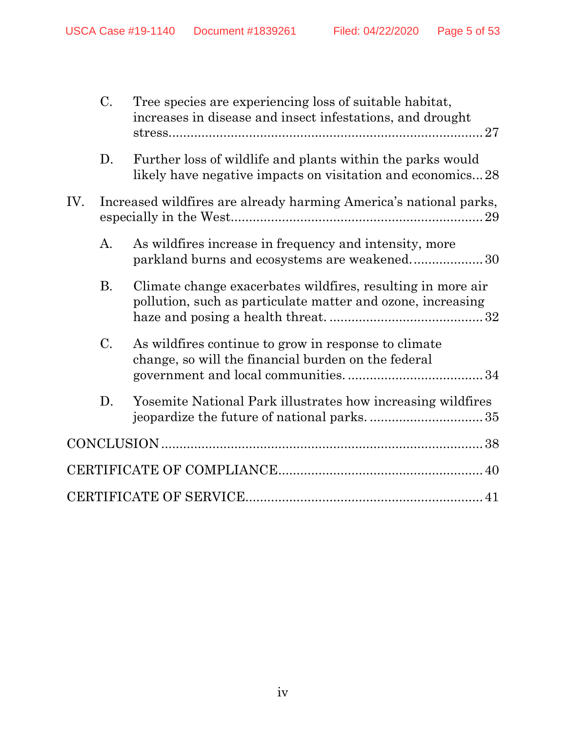|     | C.          | Tree species are experiencing loss of suitable habitat,<br>increases in disease and insect infestations, and drought       |  |
|-----|-------------|----------------------------------------------------------------------------------------------------------------------------|--|
|     | D.          | Further loss of wildlife and plants within the parks would<br>likely have negative impacts on visitation and economics28   |  |
| IV. |             | Increased wildfires are already harming America's national parks,                                                          |  |
|     | A.          | As wildfires increase in frequency and intensity, more<br>parkland burns and ecosystems are weakened30                     |  |
|     | <b>B.</b>   | Climate change exacerbates wildfires, resulting in more air<br>pollution, such as particulate matter and ozone, increasing |  |
|     | $C_{\cdot}$ | As wildfires continue to grow in response to climate<br>change, so will the financial burden on the federal                |  |
|     | D.          | Yosemite National Park illustrates how increasing wildfires                                                                |  |
|     |             |                                                                                                                            |  |
|     |             |                                                                                                                            |  |
|     |             |                                                                                                                            |  |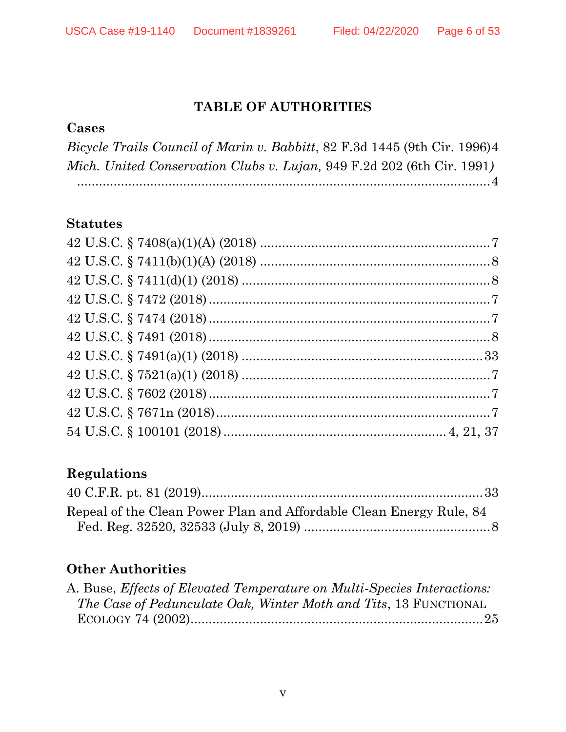# **TABLE OF AUTHORITIES**

#### **Cases**

*Bicycle Trails Council of Marin v. Babbitt*, 82 F.3d 1445 (9th Cir. 1996)4 *Mich. United Conservation Clubs v. Lujan,* 949 F.2d 202 (6th Cir. 1991*)* .................................................................................................................4

#### **Statutes**

## **Regulations**

| Repeal of the Clean Power Plan and Affordable Clean Energy Rule, 84 |  |
|---------------------------------------------------------------------|--|
|                                                                     |  |

# **Other Authorities**

| A. Buse, Effects of Elevated Temperature on Multi-Species Interactions: |  |
|-------------------------------------------------------------------------|--|
| <i>The Case of Pedunculate Oak, Winter Moth and Tits, 13 FUNCTIONAL</i> |  |
|                                                                         |  |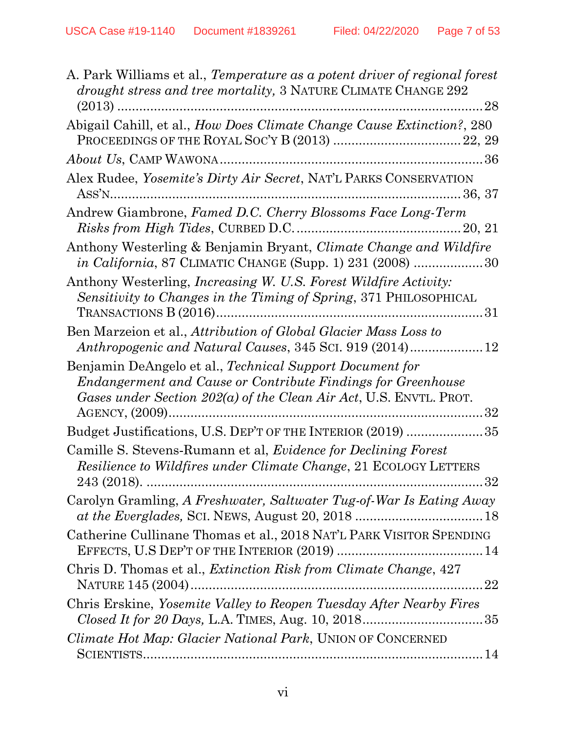| A. Park Williams et al., <i>Temperature as a potent driver of regional forest</i><br>drought stress and tree mortality, 3 NATURE CLIMATE CHANGE 292<br>28                                        |
|--------------------------------------------------------------------------------------------------------------------------------------------------------------------------------------------------|
| Abigail Cahill, et al., How Does Climate Change Cause Extinction?, 280                                                                                                                           |
| <i>About Us, CAMP WAWONA</i>                                                                                                                                                                     |
| Alex Rudee, Yosemite's Dirty Air Secret, NAT'L PARKS CONSERVATION                                                                                                                                |
| Andrew Giambrone, Famed D.C. Cherry Blossoms Face Long-Term                                                                                                                                      |
| Anthony Westerling & Benjamin Bryant, Climate Change and Wildfire<br><i>in California</i> , 87 CLIMATIC CHANGE (Supp. 1) 231 (2008) 30                                                           |
| Anthony Westerling, <i>Increasing W. U.S. Forest Wildfire Activity</i> :<br>Sensitivity to Changes in the Timing of Spring, 371 PHILOSOPHICAL                                                    |
| Ben Marzeion et al., Attribution of Global Glacier Mass Loss to                                                                                                                                  |
| Benjamin DeAngelo et al., Technical Support Document for<br>Endangerment and Cause or Contribute Findings for Greenhouse<br>Gases under Section $202(a)$ of the Clean Air Act, U.S. ENVTL. PROT. |
| Budget Justifications, U.S. DEP'T OF THE INTERIOR (2019) 35                                                                                                                                      |
| Camille S. Stevens-Rumann et al, <i>Evidence for Declining Forest</i><br><i>Resilience to Wildfires under Climate Change, 21 ECOLOGY LETTERS</i><br>32                                           |
| Carolyn Gramling, A Freshwater, Saltwater Tug-of-War Is Eating Away                                                                                                                              |
| Catherine Cullinane Thomas et al., 2018 NAT'L PARK VISITOR SPENDING                                                                                                                              |
| Chris D. Thomas et al., <i>Extinction Risk from Climate Change</i> , 427                                                                                                                         |
| Chris Erskine, Yosemite Valley to Reopen Tuesday After Nearby Fires                                                                                                                              |
| Climate Hot Map: Glacier National Park, UNION OF CONCERNED                                                                                                                                       |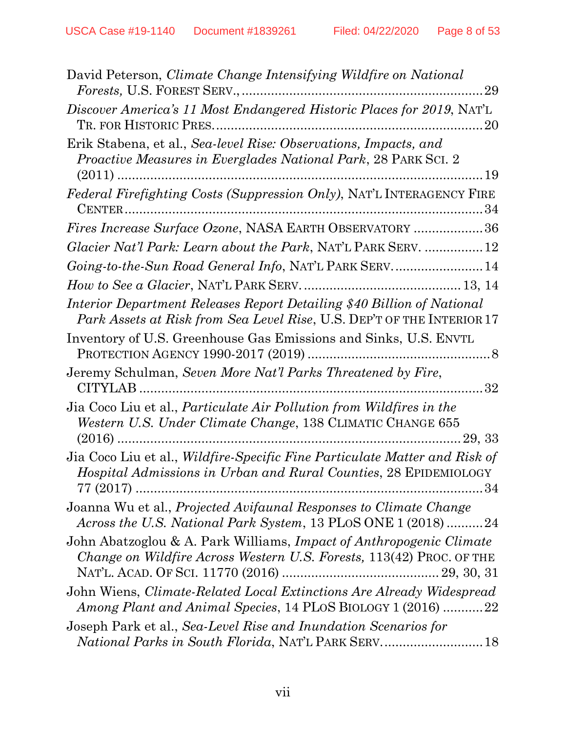| David Peterson, <i>Climate Change Intensifying Wildfire on National</i><br>29                                                                               |
|-------------------------------------------------------------------------------------------------------------------------------------------------------------|
| Discover America's 11 Most Endangered Historic Places for 2019, NAT'L                                                                                       |
| Erik Stabena, et al., Sea-level Rise: Observations, Impacts, and<br><i>Proactive Measures in Everglades National Park, 28 PARK SCI. 2</i>                   |
| CENTER                                                                                                                                                      |
| Fires Increase Surface Ozone, NASA EARTH OBSERVATORY 36                                                                                                     |
| Glacier Nat'l Park: Learn about the Park, NAT'L PARK SERV.  12                                                                                              |
|                                                                                                                                                             |
|                                                                                                                                                             |
| Interior Department Releases Report Detailing \$40 Billion of National<br>Park Assets at Risk from Sea Level Rise, U.S. DEP'T OF THE INTERIOR 17            |
| Inventory of U.S. Greenhouse Gas Emissions and Sinks, U.S. ENVTL                                                                                            |
| Jeremy Schulman, Seven More Nat'l Parks Threatened by Fire,                                                                                                 |
| Jia Coco Liu et al., <i>Particulate Air Pollution from Wildfires in the</i><br>Western U.S. Under Climate Change, 138 CLIMATIC CHANGE 655                   |
| Jia Coco Liu et al., Wildfire-Specific Fine Particulate Matter and Risk of<br><i>Hospital Admissions in Urban and Rural Counties, 28 EPIDEMIOLOGY</i><br>34 |
| Joanna Wu et al., Projected Avifaunal Responses to Climate Change<br>Across the U.S. National Park System, 13 PLoS ONE 1 (2018) 24                          |
| John Abatzoglou & A. Park Williams, <i>Impact of Anthropogenic Climate</i><br>Change on Wildfire Across Western U.S. Forests, 113(42) PROC. OF THE          |
| John Wiens, <i>Climate-Related Local Extinctions Are Already Widespread</i><br>Among Plant and Animal Species, 14 PLOS BIOLOGY 1 (2016) 22                  |
| Joseph Park et al., Sea-Level Rise and Inundation Scenarios for                                                                                             |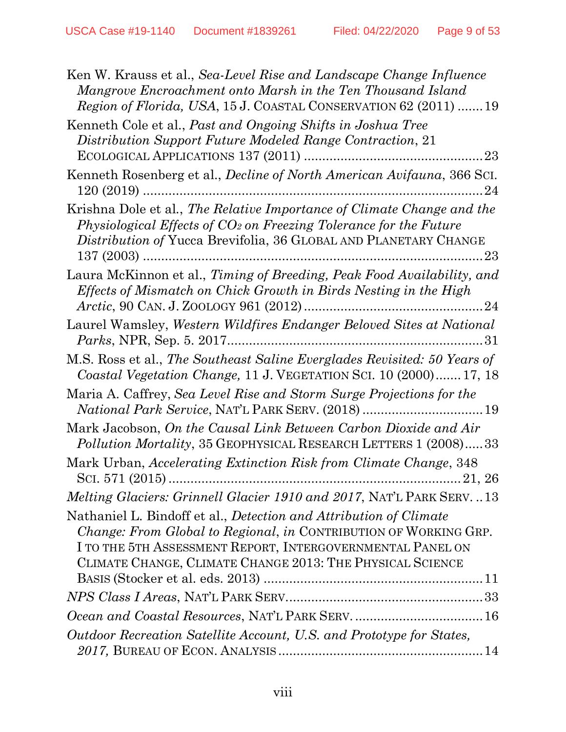| Ken W. Krauss et al., Sea-Level Rise and Landscape Change Influence<br>Mangrove Encroachment onto Marsh in the Ten Thousand Island<br>Region of Florida, USA, 15 J. COASTAL CONSERVATION 62 (2011)  19                                                                  |
|-------------------------------------------------------------------------------------------------------------------------------------------------------------------------------------------------------------------------------------------------------------------------|
| Kenneth Cole et al., Past and Ongoing Shifts in Joshua Tree                                                                                                                                                                                                             |
| Distribution Support Future Modeled Range Contraction, 21                                                                                                                                                                                                               |
|                                                                                                                                                                                                                                                                         |
| Kenneth Rosenberg et al., <i>Decline of North American Avifauna</i> , 366 SCI.                                                                                                                                                                                          |
| Krishna Dole et al., The Relative Importance of Climate Change and the<br>Physiological Effects of CO <sub>2</sub> on Freezing Tolerance for the Future<br>Distribution of Yucca Brevifolia, 36 GLOBAL AND PLANETARY CHANGE                                             |
| Laura McKinnon et al., Timing of Breeding, Peak Food Availability, and<br>Effects of Mismatch on Chick Growth in Birds Nesting in the High                                                                                                                              |
| Laurel Wamsley, Western Wildfires Endanger Beloved Sites at National                                                                                                                                                                                                    |
| M.S. Ross et al., The Southeast Saline Everglades Revisited: 50 Years of<br>Coastal Vegetation Change, 11 J. VEGETATION SCI. 10 (2000) 17, 18                                                                                                                           |
| Maria A. Caffrey, Sea Level Rise and Storm Surge Projections for the<br>National Park Service, NAT'L PARK SERV. (2018)  19                                                                                                                                              |
| Mark Jacobson, On the Causal Link Between Carbon Dioxide and Air<br>Pollution Mortality, 35 GEOPHYSICAL RESEARCH LETTERS 1 (2008)33                                                                                                                                     |
| Mark Urban, Accelerating Extinction Risk from Climate Change, 348                                                                                                                                                                                                       |
| <i>Melting Glaciers: Grinnell Glacier 1910 and 2017, NAT'L PARK SERV13</i>                                                                                                                                                                                              |
| Nathaniel L. Bindoff et al., Detection and Attribution of Climate<br><i>Change: From Global to Regional, in CONTRIBUTION OF WORKING GRP.</i><br>I TO THE 5TH ASSESSMENT REPORT, INTERGOVERNMENTAL PANEL ON<br>CLIMATE CHANGE, CLIMATE CHANGE 2013: THE PHYSICAL SCIENCE |
|                                                                                                                                                                                                                                                                         |
|                                                                                                                                                                                                                                                                         |
|                                                                                                                                                                                                                                                                         |
| Outdoor Recreation Satellite Account, U.S. and Prototype for States,                                                                                                                                                                                                    |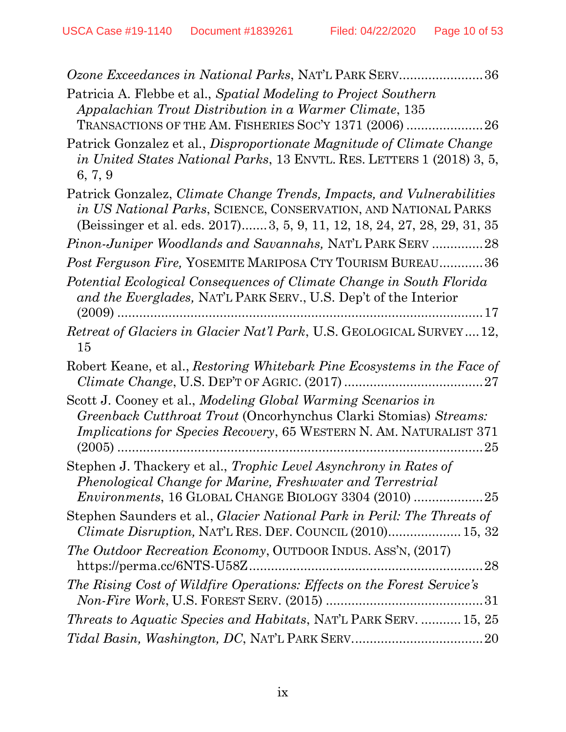| Ozone Exceedances in National Parks, NAT'L PARK SERV36                                                                                                                                                                |
|-----------------------------------------------------------------------------------------------------------------------------------------------------------------------------------------------------------------------|
| Patricia A. Flebbe et al., Spatial Modeling to Project Southern<br>Appalachian Trout Distribution in a Warmer Climate, 135                                                                                            |
| TRANSACTIONS OF THE AM. FISHERIES SOC'Y 1371 (2006)  26                                                                                                                                                               |
| Patrick Gonzalez et al., Disproportionate Magnitude of Climate Change<br>in United States National Parks, 13 ENVTL. RES. LETTERS 1 (2018) 3, 5,<br>6, 7, 9                                                            |
| Patrick Gonzalez, Climate Change Trends, Impacts, and Vulnerabilities<br>in US National Parks, SCIENCE, CONSERVATION, AND NATIONAL PARKS<br>(Beissinger et al. eds. 2017) 3, 5, 9, 11, 12, 18, 24, 27, 28, 29, 31, 35 |
| Pinon-Juniper Woodlands and Savannahs, NAT'L PARK SERV 28                                                                                                                                                             |
| Post Ferguson Fire, YOSEMITE MARIPOSA CTY TOURISM BUREAU36                                                                                                                                                            |
| Potential Ecological Consequences of Climate Change in South Florida<br>and the Everglades, NAT'L PARK SERV., U.S. Dep't of the Interior                                                                              |
| <i>Retreat of Glaciers in Glacier Nat'l Park, U.S. GEOLOGICAL SURVEY12,</i><br>15                                                                                                                                     |
| Robert Keane, et al., Restoring Whitebark Pine Ecosystems in the Face of                                                                                                                                              |
| Scott J. Cooney et al., Modeling Global Warming Scenarios in<br>Greenback Cutthroat Trout (Oncorhynchus Clarki Stomias) Streams:<br><i>Implications for Species Recovery, 65 WESTERN N. AM. NATURALIST 371</i><br>25  |
| Stephen J. Thackery et al., Trophic Level Asynchrony in Rates of<br>Phenological Change for Marine, Freshwater and Terrestrial<br>Environments, 16 GLOBAL CHANGE BIOLOGY 3304 (2010) 25                               |
| Stephen Saunders et al., <i>Glacier National Park in Peril: The Threats of</i><br><i>Climate Disruption, NAT'L RES. DEF. COUNCIL (2010) 15, 32</i>                                                                    |
| <i>The Outdoor Recreation Economy</i> , OUTDOOR INDUS. ASS'N, (2017)                                                                                                                                                  |
| The Rising Cost of Wildfire Operations: Effects on the Forest Service's                                                                                                                                               |
| Threats to Aquatic Species and Habitats, NAT'L PARK SERV.  15, 25                                                                                                                                                     |
|                                                                                                                                                                                                                       |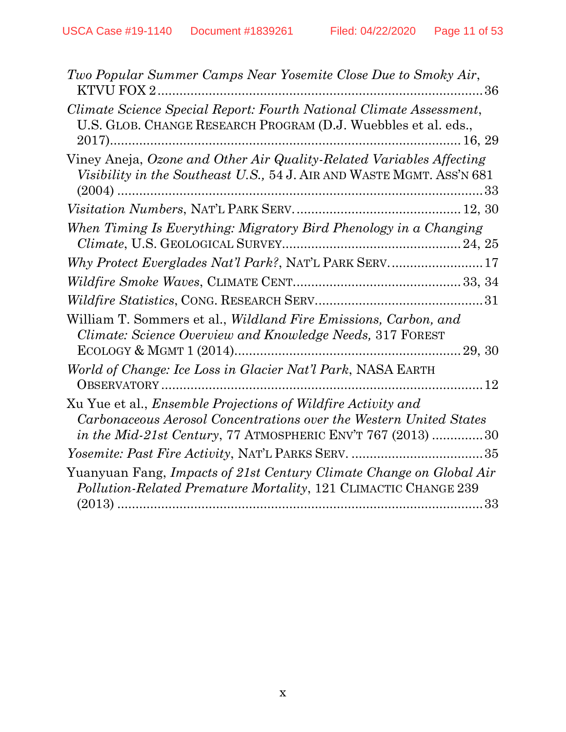| Two Popular Summer Camps Near Yosemite Close Due to Smoky Air,                                                                                                                                                   |  |
|------------------------------------------------------------------------------------------------------------------------------------------------------------------------------------------------------------------|--|
| Climate Science Special Report: Fourth National Climate Assessment,<br>U.S. GLOB. CHANGE RESEARCH PROGRAM (D.J. Wuebbles et al. eds.,                                                                            |  |
| Viney Aneja, Ozone and Other Air Quality-Related Variables Affecting<br>Visibility in the Southeast U.S., 54 J. AIR AND WASTE MGMT. ASS'N 681                                                                    |  |
|                                                                                                                                                                                                                  |  |
| When Timing Is Everything: Migratory Bird Phenology in a Changing                                                                                                                                                |  |
|                                                                                                                                                                                                                  |  |
|                                                                                                                                                                                                                  |  |
|                                                                                                                                                                                                                  |  |
| William T. Sommers et al., Wildland Fire Emissions, Carbon, and<br>Climate: Science Overview and Knowledge Needs, 317 FOREST                                                                                     |  |
| World of Change: Ice Loss in Glacier Nat'l Park, NASA EARTH                                                                                                                                                      |  |
| Xu Yue et al., <i>Ensemble Projections of Wildfire Activity and</i><br>Carbonaceous Aerosol Concentrations over the Western United States<br><i>in the Mid-21st Century</i> , 77 ATMOSPHERIC ENV'T 767 (2013) 30 |  |
|                                                                                                                                                                                                                  |  |
| Yuanyuan Fang, Impacts of 21st Century Climate Change on Global Air<br>Pollution-Related Premature Mortality, 121 CLIMACTIC CHANGE 239                                                                           |  |
|                                                                                                                                                                                                                  |  |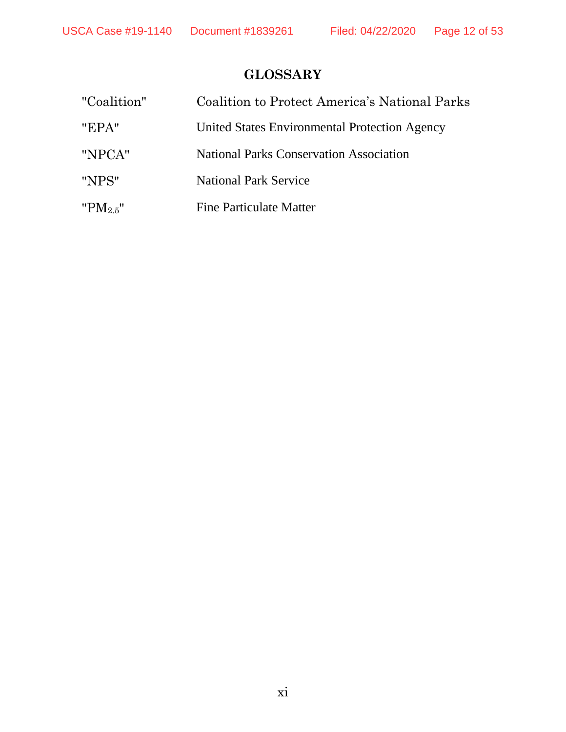# **GLOSSARY**

| "Coalition"    | Coalition to Protect America's National Parks  |
|----------------|------------------------------------------------|
| "EPA"          | United States Environmental Protection Agency  |
| "NPCA"         | <b>National Parks Conservation Association</b> |
| "NPS"          | <b>National Park Service</b>                   |
| " $PM_{2.5}$ " | Fine Particulate Matter                        |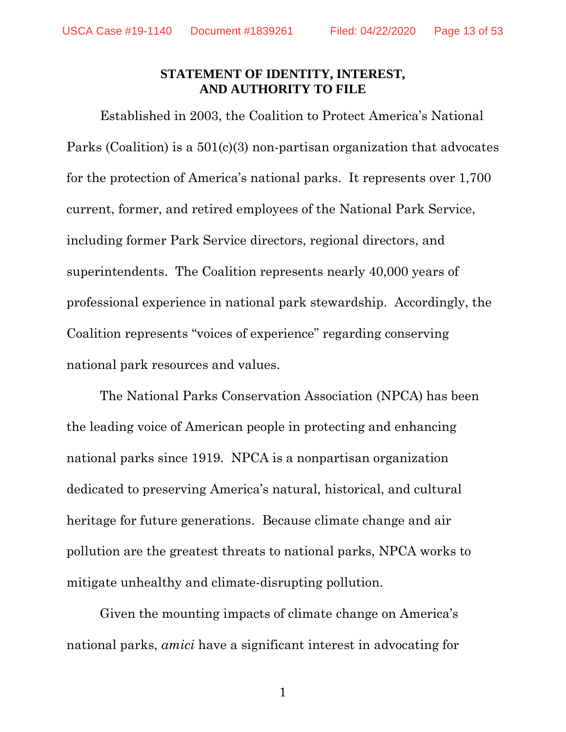#### **STATEMENT OF IDENTITY, INTEREST, AND AUTHORITY TO FILE**

Established in 2003, the Coalition to Protect America's National Parks (Coalition) is a  $501(c)(3)$  non-partisan organization that advocates for the protection of America's national parks. It represents over 1,700 current, former, and retired employees of the National Park Service, including former Park Service directors, regional directors, and superintendents. The Coalition represents nearly 40,000 years of professional experience in national park stewardship. Accordingly, the Coalition represents "voices of experience" regarding conserving national park resources and values.

The National Parks Conservation Association (NPCA) has been the leading voice of American people in protecting and enhancing national parks since 1919. NPCA is a nonpartisan organization dedicated to preserving America's natural, historical, and cultural heritage for future generations. Because climate change and air pollution are the greatest threats to national parks, NPCA works to mitigate unhealthy and climate-disrupting pollution.

Given the mounting impacts of climate change on America's national parks, *amici* have a significant interest in advocating for

1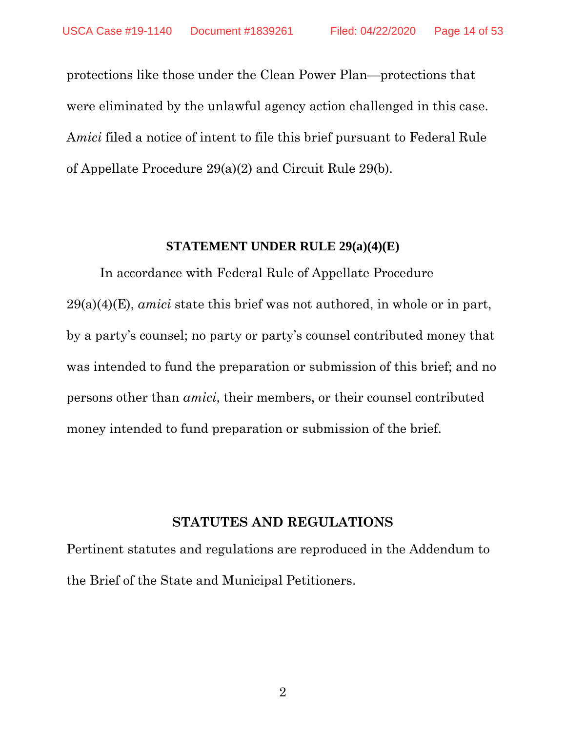protections like those under the Clean Power Plan—protections that were eliminated by the unlawful agency action challenged in this case. A*mici* filed a notice of intent to file this brief pursuant to Federal Rule of Appellate Procedure 29(a)(2) and Circuit Rule 29(b).

#### **STATEMENT UNDER RULE 29(a)(4)(E)**

In accordance with Federal Rule of Appellate Procedure 29(a)(4)(E), *amici* state this brief was not authored, in whole or in part, by a party's counsel; no party or party's counsel contributed money that was intended to fund the preparation or submission of this brief; and no persons other than *amici*, their members, or their counsel contributed money intended to fund preparation or submission of the brief.

#### **STATUTES AND REGULATIONS**

Pertinent statutes and regulations are reproduced in the Addendum to the Brief of the State and Municipal Petitioners.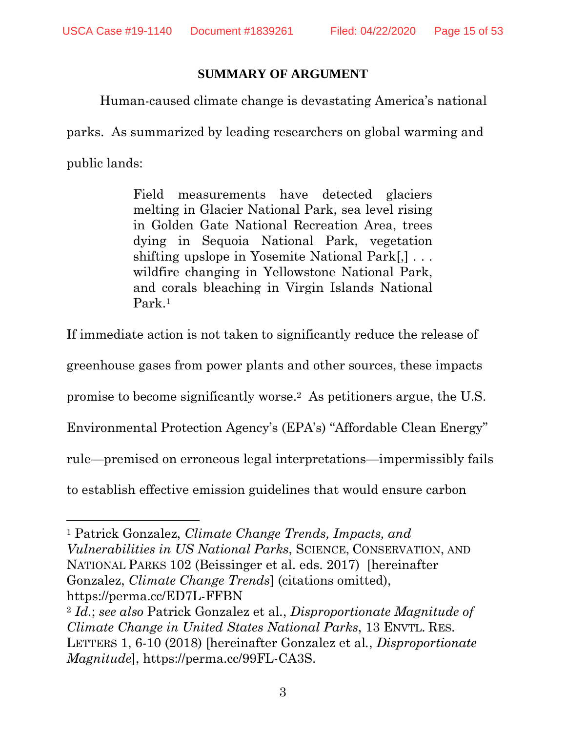#### **SUMMARY OF ARGUMENT**

Human-caused climate change is devastating America's national

parks. As summarized by leading researchers on global warming and

public lands:

Field measurements have detected glaciers melting in Glacier National Park, sea level rising in Golden Gate National Recreation Area, trees dying in Sequoia National Park, vegetation shifting upslope in Yosemite National Park[,] . . . wildfire changing in Yellowstone National Park, and corals bleaching in Virgin Islands National Park.<sup>1</sup>

<span id="page-14-1"></span>If immediate action is not taken to significantly reduce the release of

greenhouse gases from power plants and other sources, these impacts

<span id="page-14-0"></span>promise to become significantly worse. <sup>2</sup> As petitioners argue, the U.S.

Environmental Protection Agency's (EPA's) "Affordable Clean Energy"

rule—premised on erroneous legal interpretations—impermissibly fails

to establish effective emission guidelines that would ensure carbon

l <sup>1</sup> Patrick Gonzalez, *Climate Change Trends, Impacts, and Vulnerabilities in US National Parks*, SCIENCE, CONSERVATION, AND NATIONAL PARKS 102 (Beissinger et al. eds. 2017) [hereinafter Gonzalez, *Climate Change Trends*] (citations omitted), https://perma.cc/ED7L-FFBN

<sup>2</sup> *Id.*; *see also* Patrick Gonzalez et al*.*, *Disproportionate Magnitude of Climate Change in United States National Parks*, 13 ENVTL. RES. LETTERS 1, 6-10 (2018) [hereinafter Gonzalez et al*.*, *Disproportionate Magnitude*], https://perma.cc/99FL-CA3S.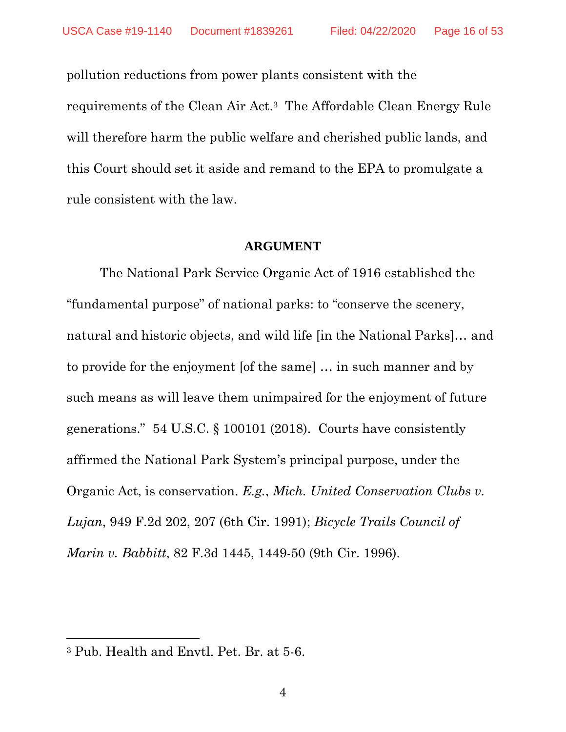pollution reductions from power plants consistent with the requirements of the Clean Air Act. <sup>3</sup> The Affordable Clean Energy Rule will therefore harm the public welfare and cherished public lands, and this Court should set it aside and remand to the EPA to promulgate a rule consistent with the law.

#### **ARGUMENT**

The National Park Service Organic Act of 1916 established the "fundamental purpose" of national parks: to "conserve the scenery, natural and historic objects, and wild life [in the National Parks]… and to provide for the enjoyment [of the same] … in such manner and by such means as will leave them unimpaired for the enjoyment of future generations." 54 U.S.C. § 100101 (2018). Courts have consistently affirmed the National Park System's principal purpose, under the Organic Act, is conservation. *E.g.*, *Mich. United Conservation Clubs v. Lujan*, 949 F.2d 202, 207 (6th Cir. 1991); *Bicycle Trails Council of Marin v. Babbitt*, 82 F.3d 1445, 1449-50 (9th Cir. 1996).

<sup>3</sup> Pub. Health and Envtl. Pet. Br. at 5-6.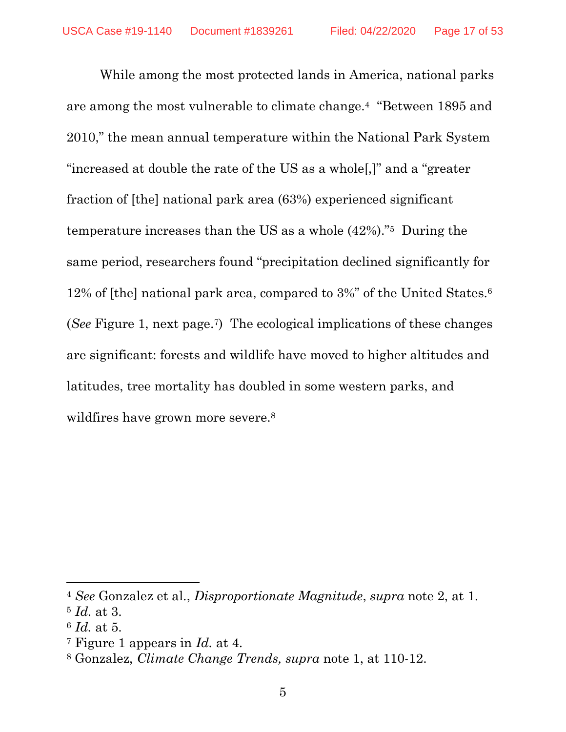While among the most protected lands in America, national parks are among the most vulnerable to climate change.<sup>4</sup> "Between 1895 and 2010," the mean annual temperature within the National Park System "increased at double the rate of the US as a whole[,]" and a "greater fraction of [the] national park area (63%) experienced significant temperature increases than the US as a whole (42%)."<sup>5</sup> During the same period, researchers found "precipitation declined significantly for 12% of [the] national park area, compared to 3%" of the United States.<sup>6</sup> (*See* Figure 1, next page. <sup>7</sup>) The ecological implications of these changes are significant: forests and wildlife have moved to higher altitudes and latitudes, tree mortality has doubled in some western parks, and wildfires have grown more severe.<sup>8</sup>

<sup>4</sup> *See* Gonzalez et al., *Disproportionate Magnitude*, *supra* note [2,](#page-14-0) at 1.

<sup>5</sup> *Id.* at 3.

<sup>6</sup> *Id.* at 5.

<sup>7</sup> Figure 1 appears in *Id.* at 4.

<sup>8</sup> Gonzalez, *Climate Change Trends, supra* note 1, at 110-12.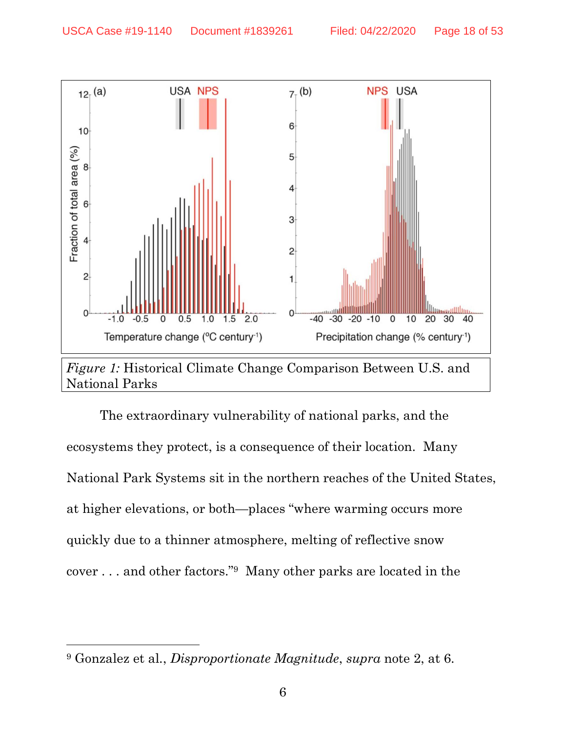$\overline{\phantom{a}}$ 



The extraordinary vulnerability of national parks, and the ecosystems they protect, is a consequence of their location. Many National Park Systems sit in the northern reaches of the United States, at higher elevations, or both—places "where warming occurs more quickly due to a thinner atmosphere, melting of reflective snow cover . . . and other factors."<sup>9</sup> Many other parks are located in the

<sup>9</sup> Gonzalez et al*.*, *Disproportionate Magnitude*, *supra* note 2, at 6.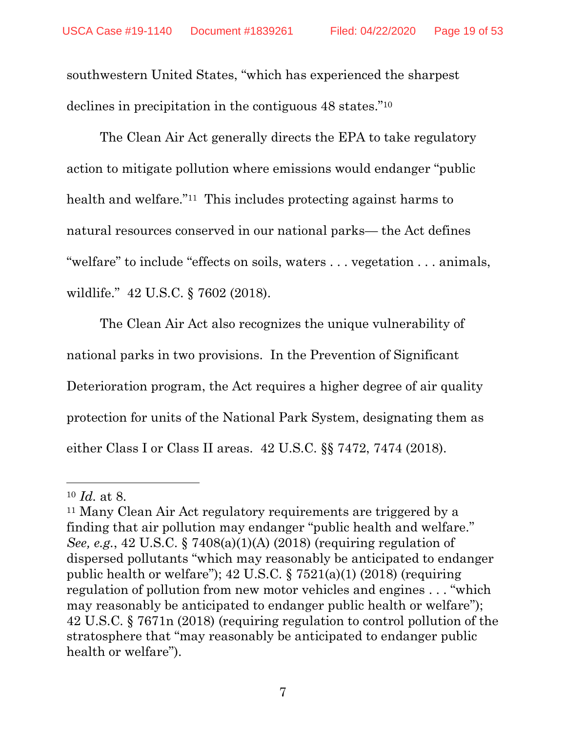southwestern United States, "which has experienced the sharpest declines in precipitation in the contiguous 48 states."<sup>10</sup>

The Clean Air Act generally directs the EPA to take regulatory action to mitigate pollution where emissions would endanger "public health and welfare.<sup>"11</sup> This includes protecting against harms to natural resources conserved in our national parks— the Act defines "welfare" to include "effects on soils, waters . . . vegetation . . . animals, wildlife." 42 U.S.C. § 7602 (2018).

The Clean Air Act also recognizes the unique vulnerability of national parks in two provisions. In the Prevention of Significant Deterioration program, the Act requires a higher degree of air quality protection for units of the National Park System, designating them as either Class I or Class II areas. 42 U.S.C. §§ 7472, 7474 (2018).

 $\overline{a}$ 

<sup>10</sup> *Id.* at 8.

<sup>11</sup> Many Clean Air Act regulatory requirements are triggered by a finding that air pollution may endanger "public health and welfare." *See, e.g.*, 42 U.S.C. § 7408(a)(1)(A) (2018) (requiring regulation of dispersed pollutants "which may reasonably be anticipated to endanger public health or welfare");  $42 \text{ U.S.C.}$  §  $7521(a)(1)$  (2018) (requiring regulation of pollution from new motor vehicles and engines . . . "which may reasonably be anticipated to endanger public health or welfare"); 42 U.S.C. § 7671n (2018) (requiring regulation to control pollution of the stratosphere that "may reasonably be anticipated to endanger public health or welfare").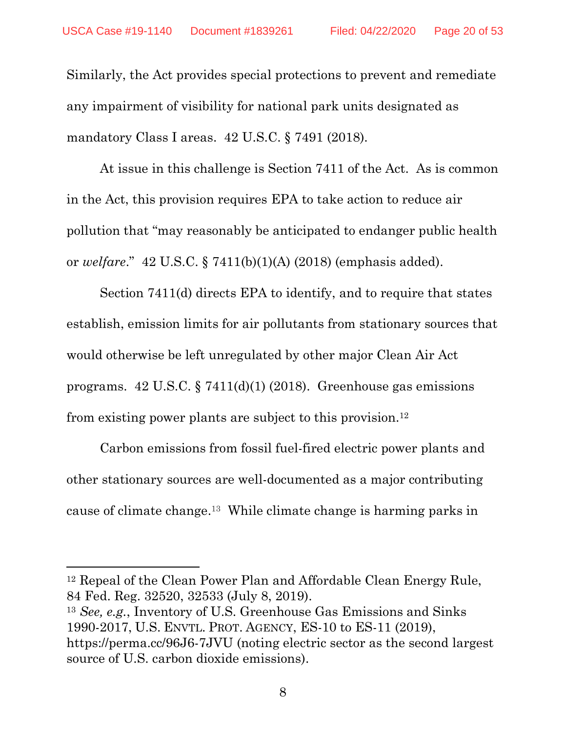Similarly, the Act provides special protections to prevent and remediate any impairment of visibility for national park units designated as mandatory Class I areas. 42 U.S.C. § 7491 (2018).

At issue in this challenge is Section 7411 of the Act. As is common in the Act, this provision requires EPA to take action to reduce air pollution that "may reasonably be anticipated to endanger public health or *welfare*." 42 U.S.C. § 7411(b)(1)(A) (2018) (emphasis added).

Section 7411(d) directs EPA to identify, and to require that states establish, emission limits for air pollutants from stationary sources that would otherwise be left unregulated by other major Clean Air Act programs. 42 U.S.C. § 7411(d)(1) (2018). Greenhouse gas emissions from existing power plants are subject to this provision.<sup>12</sup>

Carbon emissions from fossil fuel-fired electric power plants and other stationary sources are well-documented as a major contributing cause of climate change. <sup>13</sup> While climate change is harming parks in

<sup>12</sup> Repeal of the Clean Power Plan and Affordable Clean Energy Rule, 84 Fed. Reg. 32520, 32533 (July 8, 2019).

 $\overline{a}$ 

<sup>13</sup> *See, e.g.*, Inventory of U.S. Greenhouse Gas Emissions and Sinks 1990-2017, U.S. ENVTL. PROT. AGENCY, ES-10 to ES-11 (2019), https://perma.cc/96J6-7JVU (noting electric sector as the second largest source of U.S. carbon dioxide emissions).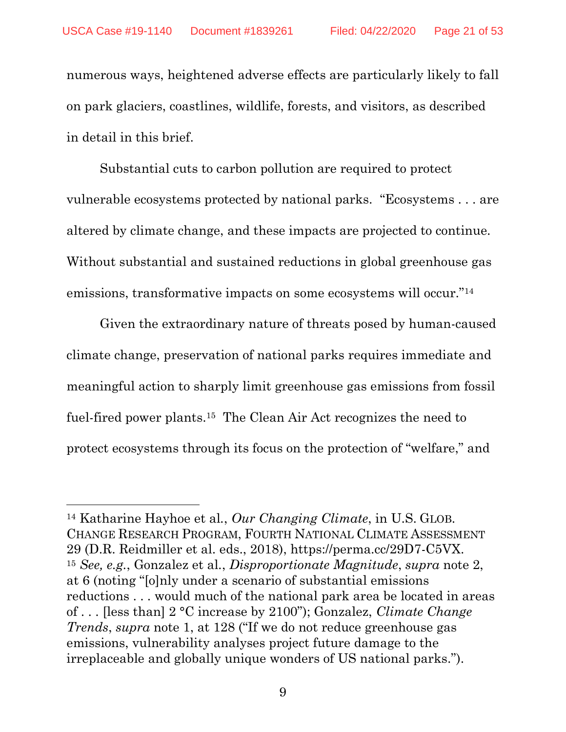numerous ways, heightened adverse effects are particularly likely to fall on park glaciers, coastlines, wildlife, forests, and visitors, as described in detail in this brief.

Substantial cuts to carbon pollution are required to protect vulnerable ecosystems protected by national parks. "Ecosystems . . . are altered by climate change, and these impacts are projected to continue. Without substantial and sustained reductions in global greenhouse gas emissions, transformative impacts on some ecosystems will occur."<sup>14</sup>

<span id="page-20-0"></span>Given the extraordinary nature of threats posed by human-caused climate change, preservation of national parks requires immediate and meaningful action to sharply limit greenhouse gas emissions from fossil fuel-fired power plants.<sup>15</sup> The Clean Air Act recognizes the need to protect ecosystems through its focus on the protection of "welfare," and

<sup>14</sup> Katharine Hayhoe et al*.*, *Our Changing Climate*, in U.S. GLOB. CHANGE RESEARCH PROGRAM, FOURTH NATIONAL CLIMATE ASSESSMENT 29 (D.R. Reidmiller et al. eds., 2018), https://perma.cc/29D7-C5VX. <sup>15</sup> *See, e.g.*, Gonzalez et al*.*, *Disproportionate Magnitude*, *supra* note 2, at 6 (noting "[o]nly under a scenario of substantial emissions reductions . . . would much of the national park area be located in areas of . . . [less than] 2 °C increase by 2100"); Gonzalez, *Climate Change Trends*, *supra* note 1, at 128 ("If we do not reduce greenhouse gas emissions, vulnerability analyses project future damage to the irreplaceable and globally unique wonders of US national parks.").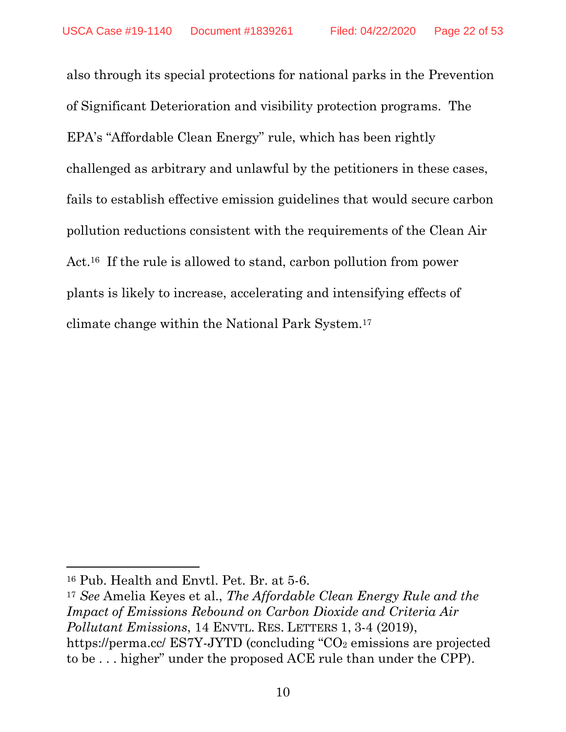also through its special protections for national parks in the Prevention of Significant Deterioration and visibility protection programs. The EPA's "Affordable Clean Energy" rule, which has been rightly challenged as arbitrary and unlawful by the petitioners in these cases, fails to establish effective emission guidelines that would secure carbon pollution reductions consistent with the requirements of the Clean Air Act.<sup>16</sup> If the rule is allowed to stand, carbon pollution from power plants is likely to increase, accelerating and intensifying effects of climate change within the National Park System.<sup>17</sup>

 $\overline{a}$ 

<sup>16</sup> Pub. Health and Envtl. Pet. Br. at 5-6.

<sup>17</sup> *See* Amelia Keyes et al., *The Affordable Clean Energy Rule and the Impact of Emissions Rebound on Carbon Dioxide and Criteria Air Pollutant Emissions*, 14 ENVTL. RES. LETTERS 1, 3-4 (2019), https://perma.cc/  $ESTY-JYTD$  (concluding " $CO<sub>2</sub>$  emissions are projected to be . . . higher" under the proposed ACE rule than under the CPP).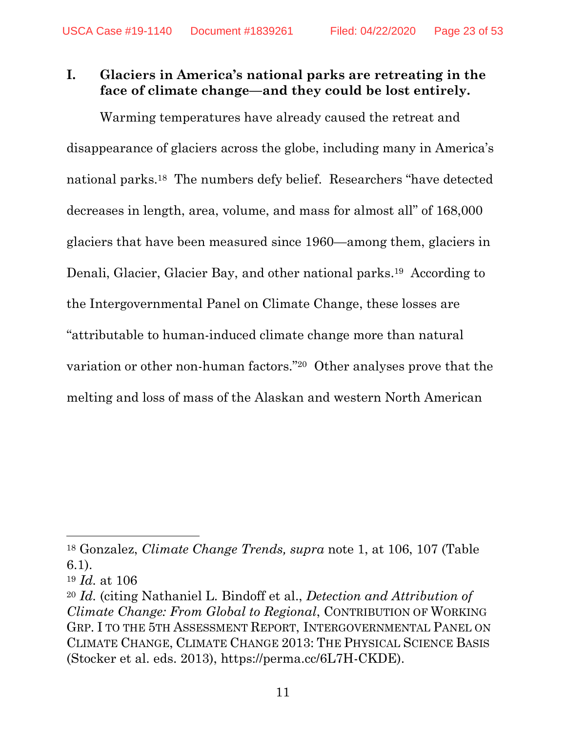# **I. Glaciers in America's national parks are retreating in the face of climate change—and they could be lost entirely.**

Warming temperatures have already caused the retreat and disappearance of glaciers across the globe, including many in America's national parks.<sup>18</sup> The numbers defy belief. Researchers "have detected decreases in length, area, volume, and mass for almost all" of 168,000 glaciers that have been measured since 1960—among them, glaciers in Denali, Glacier, Glacier Bay, and other national parks. <sup>19</sup> According to the Intergovernmental Panel on Climate Change, these losses are "attributable to human-induced climate change more than natural variation or other non-human factors." <sup>20</sup> Other analyses prove that the melting and loss of mass of the Alaskan and western North American

<span id="page-22-0"></span><sup>18</sup> Gonzalez, *Climate Change Trends, supra* note 1, at 106, 107 (Table 6.1).

<sup>19</sup> *Id.* at 106

<sup>20</sup> *Id.* (citing Nathaniel L. Bindoff et al., *Detection and Attribution of Climate Change: From Global to Regional*, CONTRIBUTION OF WORKING GRP. I TO THE 5TH ASSESSMENT REPORT, INTERGOVERNMENTAL PANEL ON CLIMATE CHANGE, CLIMATE CHANGE 2013: THE PHYSICAL SCIENCE BASIS (Stocker et al. eds. 2013), https://perma.cc/6L7H-CKDE).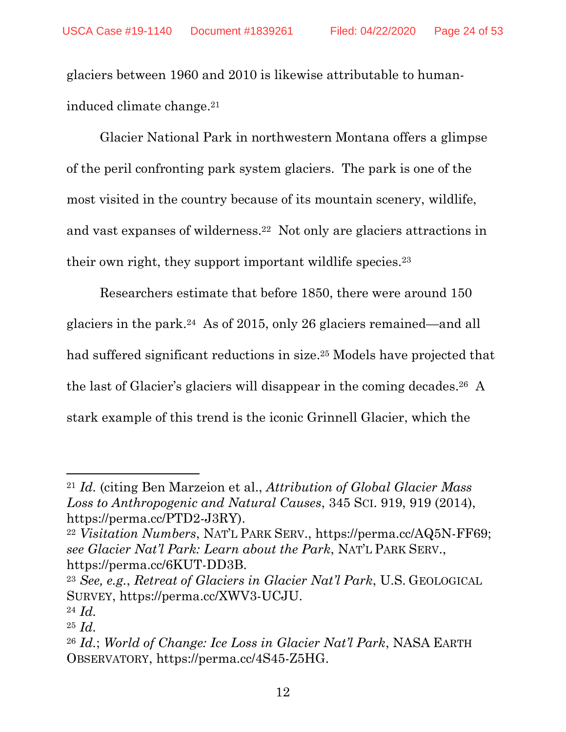glaciers between 1960 and 2010 is likewise attributable to humaninduced climate change. 21

Glacier National Park in northwestern Montana offers a glimpse of the peril confronting park system glaciers. The park is one of the most visited in the country because of its mountain scenery, wildlife, and vast expanses of wilderness. <sup>22</sup> Not only are glaciers attractions in their own right, they support important wildlife species.<sup>23</sup>

<span id="page-23-0"></span>Researchers estimate that before 1850, there were around 150 glaciers in the park. <sup>24</sup> As of 2015, only 26 glaciers remained—and all had suffered significant reductions in size. <sup>25</sup> Models have projected that the last of Glacier's glaciers will disappear in the coming decades. <sup>26</sup> A stark example of this trend is the iconic Grinnell Glacier, which the

<sup>24</sup> *Id.*

<sup>21</sup> *Id.* (citing Ben Marzeion et al., *Attribution of Global Glacier Mass Loss to Anthropogenic and Natural Causes*, 345 SCI. 919, 919 (2014), https://perma.cc/PTD2-J3RY).

<sup>22</sup> *Visitation Numbers*, NAT'L PARK SERV., https://perma.cc/AQ5N-FF69; *see Glacier Nat'l Park: Learn about the Park*, NAT'L PARK SERV., https://perma.cc/6KUT-DD3B.

<sup>23</sup> *See, e.g.*, *Retreat of Glaciers in Glacier Nat'l Park*, U.S. GEOLOGICAL SURVEY, https://perma.cc/XWV3-UCJU.

<sup>25</sup> *Id.*

<sup>26</sup> *Id.*; *World of Change: Ice Loss in Glacier Nat'l Park*, NASA EARTH OBSERVATORY, https://perma.cc/4S45-Z5HG.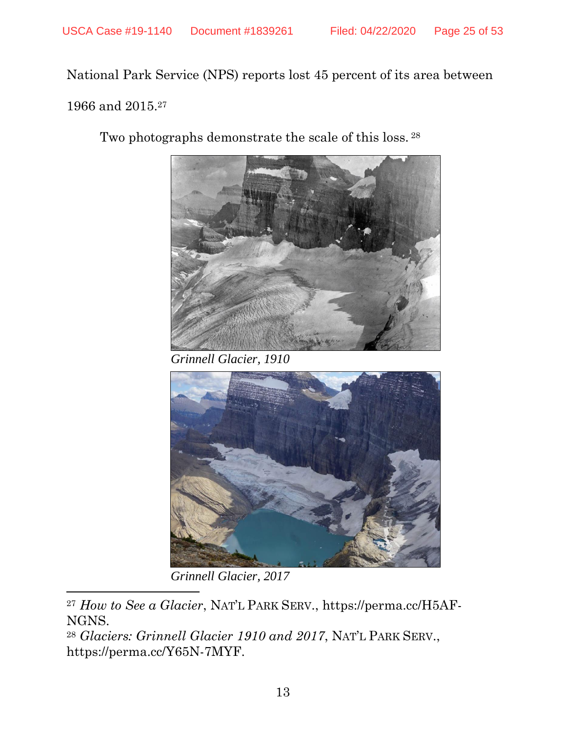National Park Service (NPS) reports lost 45 percent of its area between 1966 and 2015.<sup>27</sup>

Two photographs demonstrate the scale of this loss.<sup>28</sup>

<span id="page-24-0"></span>

*Grinnell Glacier, 1910*



*Grinnell Glacier, 2017*

 $\overline{\phantom{a}}$ <sup>27</sup> *How to See a Glacier*, NAT'L PARK SERV., https://perma.cc/H5AF-NGNS.

<sup>28</sup> *Glaciers: Grinnell Glacier 1910 and 2017*, NAT'L PARK SERV., https://perma.cc/Y65N-7MYF.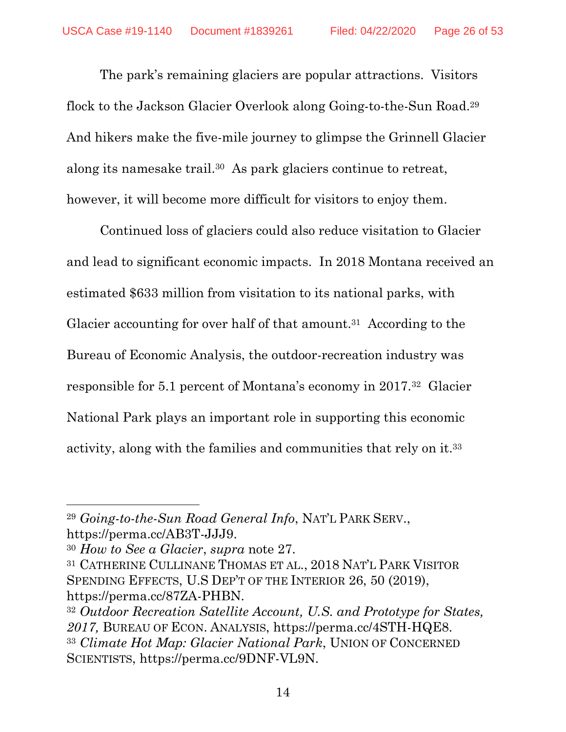The park's remaining glaciers are popular attractions. Visitors flock to the Jackson Glacier Overlook along Going-to-the-Sun Road.<sup>29</sup> And hikers make the five-mile journey to glimpse the Grinnell Glacier along its namesake trail. <sup>30</sup> As park glaciers continue to retreat, however, it will become more difficult for visitors to enjoy them.

Continued loss of glaciers could also reduce visitation to Glacier and lead to significant economic impacts. In 2018 Montana received an estimated \$633 million from visitation to its national parks, with Glacier accounting for over half of that amount.<sup>31</sup> According to the Bureau of Economic Analysis, the outdoor-recreation industry was responsible for 5.1 percent of Montana's economy in 2017.<sup>32</sup> Glacier National Park plays an important role in supporting this economic activity, along with the families and communities that rely on it.<sup>33</sup>

 $\overline{\phantom{a}}$ <sup>29</sup> *Going-to-the-Sun Road General Info*, NAT'L PARK SERV., https://perma.cc/AB3T-JJJ9.

<sup>30</sup> *How to See a Glacier*, *supra* note [27.](#page-24-0)

<sup>31</sup> CATHERINE CULLINANE THOMAS ET AL., 2018 NAT'L PARK VISITOR SPENDING EFFECTS, U.S DEP'T OF THE INTERIOR 26, 50 (2019), https://perma.cc/87ZA-PHBN.

<sup>32</sup> *Outdoor Recreation Satellite Account, U.S. and Prototype for States, 2017,* BUREAU OF ECON. ANALYSIS, https://perma.cc/4STH-HQE8. <sup>33</sup> *Climate Hot Map: Glacier National Park*, UNION OF CONCERNED SCIENTISTS, https://perma.cc/9DNF-VL9N.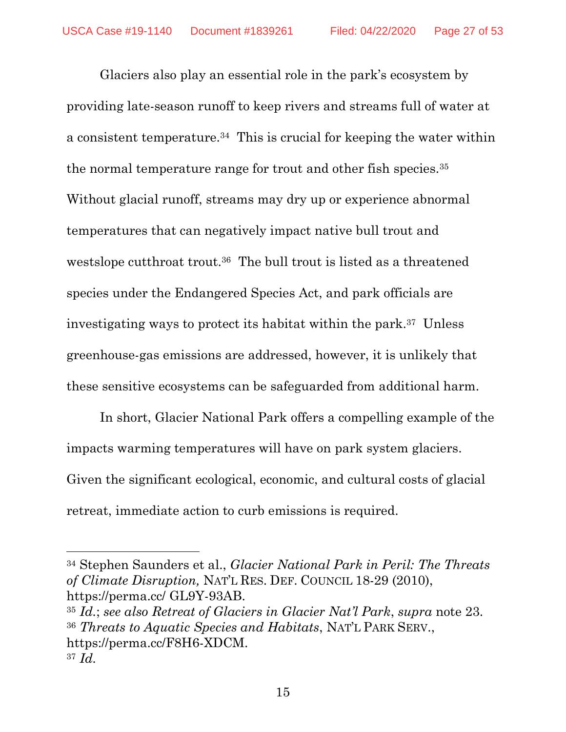<span id="page-26-1"></span>Glaciers also play an essential role in the park's ecosystem by providing late-season runoff to keep rivers and streams full of water at a consistent temperature.<sup>34</sup> This is crucial for keeping the water within the normal temperature range for trout and other fish species.<sup>35</sup> Without glacial runoff, streams may dry up or experience abnormal temperatures that can negatively impact native bull trout and westslope cutthroat trout.<sup>36</sup> The bull trout is listed as a threatened species under the Endangered Species Act, and park officials are investigating ways to protect its habitat within the park. <sup>37</sup> Unless greenhouse-gas emissions are addressed, however, it is unlikely that these sensitive ecosystems can be safeguarded from additional harm.

<span id="page-26-0"></span>In short, Glacier National Park offers a compelling example of the impacts warming temperatures will have on park system glaciers. Given the significant ecological, economic, and cultural costs of glacial retreat, immediate action to curb emissions is required.

l

<sup>35</sup> *Id.*; *see also Retreat of Glaciers in Glacier Nat'l Park*, *supra* note [23.](#page-23-0) <sup>36</sup> *Threats to Aquatic Species and Habitats*, NAT'L PARK SERV., https://perma.cc/F8H6-XDCM. <sup>37</sup> *Id.* 

15

<sup>34</sup> Stephen Saunders et al., *Glacier National Park in Peril: The Threats of Climate Disruption,* NAT'L RES. DEF. COUNCIL 18-29 (2010), https://perma.cc/ GL9Y-93AB.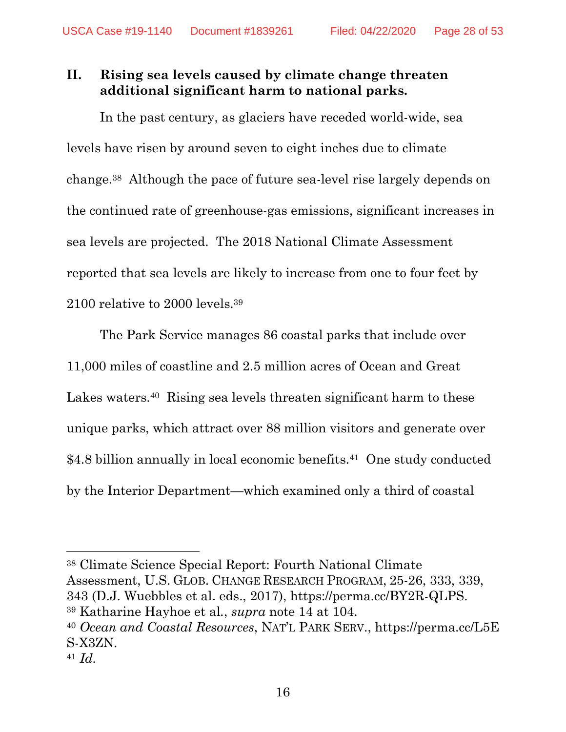# **II. Rising sea levels caused by climate change threaten additional significant harm to national parks.**

<span id="page-27-0"></span>In the past century, as glaciers have receded world-wide, sea levels have risen by around seven to eight inches due to climate change.<sup>38</sup> Although the pace of future sea-level rise largely depends on the continued rate of greenhouse-gas emissions, significant increases in sea levels are projected. The 2018 National Climate Assessment reported that sea levels are likely to increase from one to four feet by 2100 relative to 2000 levels.<sup>39</sup>

The Park Service manages 86 coastal parks that include over 11,000 miles of coastline and 2.5 million acres of Ocean and Great Lakes waters.<sup>40</sup> Rising sea levels threaten significant harm to these unique parks, which attract over 88 million visitors and generate over \$4.8 billion annually in local economic benefits.<sup>41</sup> One study conducted by the Interior Department—which examined only a third of coastal

l <sup>38</sup> Climate Science Special Report: Fourth National Climate Assessment, U.S. GLOB. CHANGE RESEARCH PROGRAM, 25-26, 333, 339, 343 (D.J. Wuebbles et al. eds., 2017), https://perma.cc/BY2R-QLPS. <sup>39</sup> Katharine Hayhoe et al*.*, *supra* note [14](#page-20-0) at 104.

<sup>40</sup> *Ocean and Coastal Resources*, NAT'L PARK SERV., https://perma.cc/L5E S-X3ZN.

<sup>41</sup> *Id.*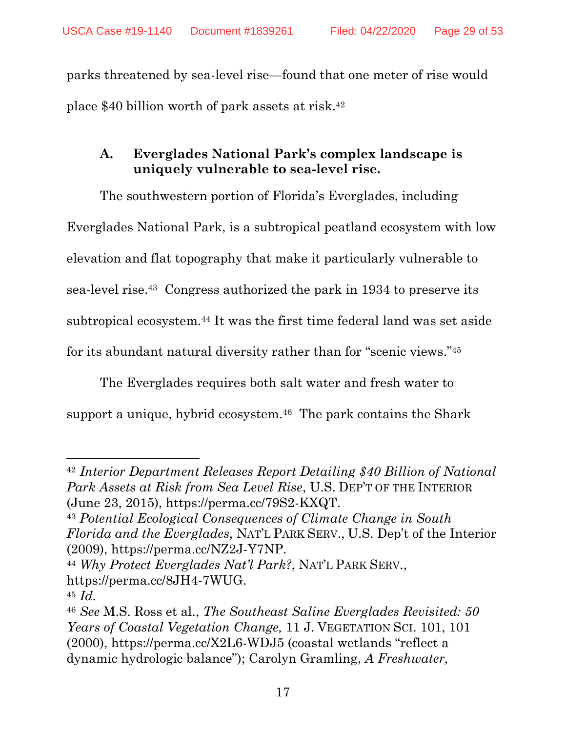parks threatened by sea-level rise—found that one meter of rise would place \$40 billion worth of park assets at risk. 42

# **A. Everglades National Park's complex landscape is uniquely vulnerable to sea-level rise.**

The southwestern portion of Florida's Everglades, including Everglades National Park, is a subtropical peatland ecosystem with low elevation and flat topography that make it particularly vulnerable to sea-level rise.<sup>43</sup> Congress authorized the park in 1934 to preserve its subtropical ecosystem. <sup>44</sup> It was the first time federal land was set aside for its abundant natural diversity rather than for "scenic views." 45

<span id="page-28-0"></span>The Everglades requires both salt water and fresh water to support a unique, hybrid ecosystem. <sup>46</sup> The park contains the Shark

<sup>42</sup> *Interior Department Releases Report Detailing \$40 Billion of National Park Assets at Risk from Sea Level Rise*, U.S. DEP'T OF THE INTERIOR (June 23, 2015), https://perma.cc/79S2-KXQT.

<sup>43</sup> *Potential Ecological Consequences of Climate Change in South Florida and the Everglades*, NAT'L PARK SERV., U.S. Dep't of the Interior (2009), https://perma.cc/NZ2J-Y7NP.

<sup>44</sup> *Why Protect Everglades Nat'l Park?*, NAT'L PARK SERV., https://perma.cc/8JH4-7WUG.

<sup>45</sup> *Id.*

<sup>46</sup> *See* M.S. Ross et al., *The Southeast Saline Everglades Revisited: 50 Years of Coastal Vegetation Change,* 11 J. VEGETATION SCI. 101, 101 (2000), https://perma.cc/X2L6-WDJ5 (coastal wetlands "reflect a dynamic hydrologic balance"); Carolyn Gramling, *A Freshwater,*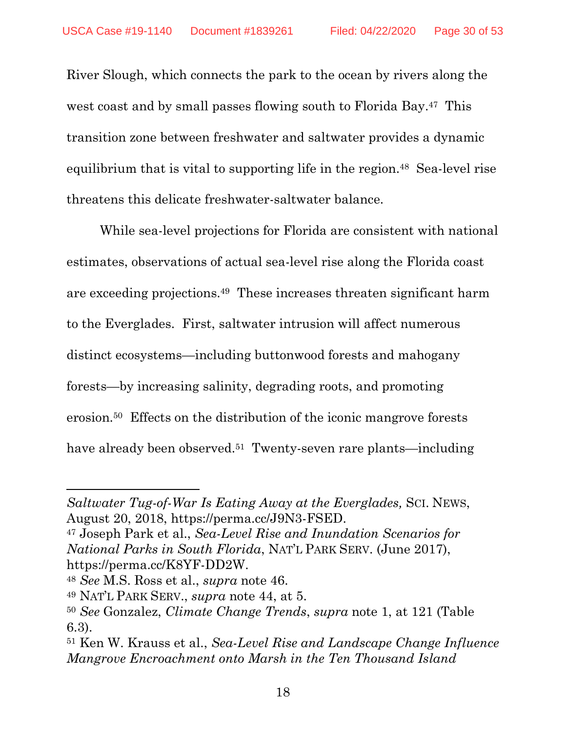River Slough, which connects the park to the ocean by rivers along the west coast and by small passes flowing south to Florida Bay.<sup>47</sup> This transition zone between freshwater and saltwater provides a dynamic equilibrium that is vital to supporting life in the region. <sup>48</sup> Sea-level rise threatens this delicate freshwater-saltwater balance.

While sea-level projections for Florida are consistent with national estimates, observations of actual sea-level rise along the Florida coast are exceeding projections. <sup>49</sup> These increases threaten significant harm to the Everglades. First, saltwater intrusion will affect numerous distinct ecosystems—including buttonwood forests and mahogany forests—by increasing salinity, degrading roots, and promoting erosion.<sup>50</sup> Effects on the distribution of the iconic mangrove forests have already been observed.<sup>51</sup> Twenty-seven rare plants—including

*Saltwater Tug-of-War Is Eating Away at the Everglades,* SCI. NEWS, August 20, 2018, https://perma.cc/J9N3-FSED.

<sup>47</sup> Joseph Park et al., *Sea-Level Rise and Inundation Scenarios for National Parks in South Florida*, NAT'L PARK SERV. (June 2017), https://perma.cc/K8YF-DD2W.

<sup>48</sup> *See* M.S. Ross et al., *supra* note [46.](#page-28-0)

<sup>49</sup> NAT'L PARK SERV., *supra* note 44, at 5.

<sup>50</sup> *See* Gonzalez, *Climate Change Trends*, *supra* note 1, at 121 (Table 6.3).

<sup>51</sup> Ken W. Krauss et al., *Sea-Level Rise and Landscape Change Influence Mangrove Encroachment onto Marsh in the Ten Thousand Island*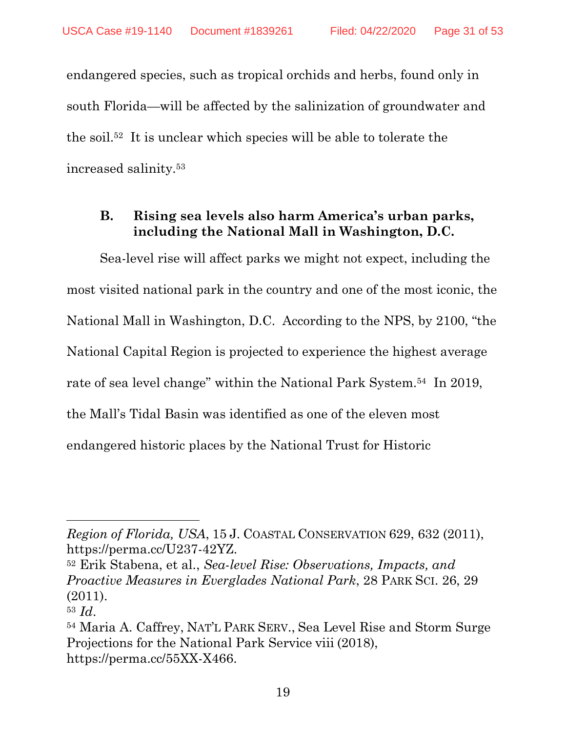endangered species, such as tropical orchids and herbs, found only in south Florida—will be affected by the salinization of groundwater and the soil.<sup>52</sup> It is unclear which species will be able to tolerate the increased salinity.<sup>53</sup>

### **B. Rising sea levels also harm America's urban parks, including the National Mall in Washington, D.C.**

Sea-level rise will affect parks we might not expect, including the most visited national park in the country and one of the most iconic, the National Mall in Washington, D.C. According to the NPS, by 2100, "the National Capital Region is projected to experience the highest average rate of sea level change" within the National Park System.<sup>54</sup> In 2019, the Mall's Tidal Basin was identified as one of the eleven most endangered historic places by the National Trust for Historic

*Region of Florida, USA*, 15 J. COASTAL CONSERVATION 629, 632 (2011), https://perma.cc/U237-42YZ.

<sup>52</sup> Erik Stabena, et al., *Sea-level Rise: Observations, Impacts, and Proactive Measures in Everglades National Park*, 28 PARK SCI. 26, 29 (2011).

<sup>53</sup> *Id*.

<sup>54</sup> Maria A. Caffrey, NAT'L PARK SERV., Sea Level Rise and Storm Surge Projections for the National Park Service viii (2018), https://perma.cc/55XX-X466.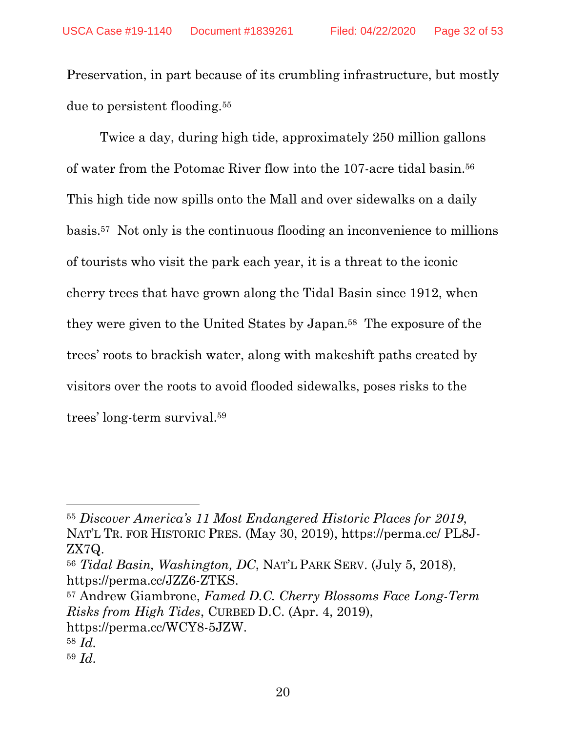Preservation, in part because of its crumbling infrastructure, but mostly due to persistent flooding.<sup>55</sup>

Twice a day, during high tide, approximately 250 million gallons of water from the Potomac River flow into the 107-acre tidal basin. 56 This high tide now spills onto the Mall and over sidewalks on a daily basis. <sup>57</sup> Not only is the continuous flooding an inconvenience to millions of tourists who visit the park each year, it is a threat to the iconic cherry trees that have grown along the Tidal Basin since 1912, when they were given to the United States by Japan.<sup>58</sup> The exposure of the trees' roots to brackish water, along with makeshift paths created by visitors over the roots to avoid flooded sidewalks, poses risks to the trees' long-term survival. 59

<sup>57</sup> Andrew Giambrone, *Famed D.C. Cherry Blossoms Face Long-Term Risks from High Tides*, CURBED D.C. (Apr. 4, 2019), https://perma.cc/WCY8-5JZW. <sup>58</sup> *Id.*

<sup>55</sup> *Discover America's 11 Most Endangered Historic Places for 2019*, NAT'L TR. FOR HISTORIC PRES. (May 30, 2019), https://perma.cc/ PL8J-ZX7Q.

<sup>56</sup> *Tidal Basin, Washington, DC*, NAT'L PARK SERV. (July 5, 2018), https://perma.cc/JZZ6-ZTKS.

<sup>59</sup> *Id.*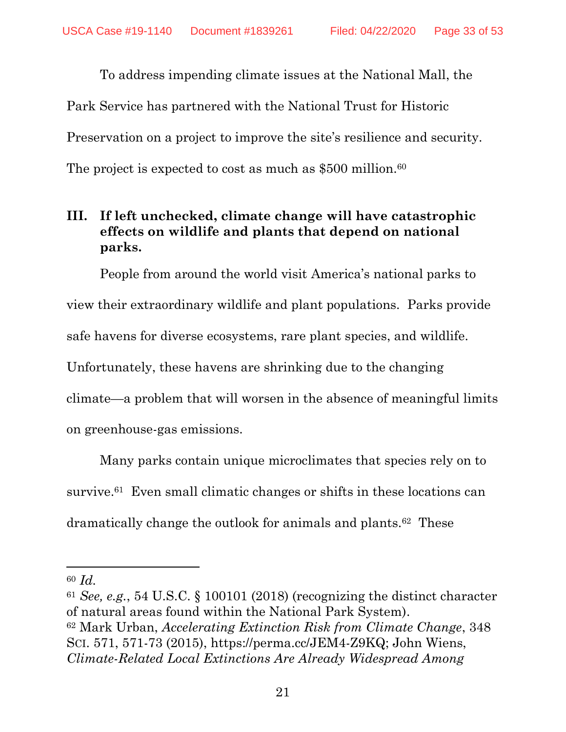To address impending climate issues at the National Mall, the Park Service has partnered with the National Trust for Historic Preservation on a project to improve the site's resilience and security. The project is expected to cost as much as \$500 million.<sup>60</sup>

# **III. If left unchecked, climate change will have catastrophic effects on wildlife and plants that depend on national parks.**

People from around the world visit America's national parks to view their extraordinary wildlife and plant populations. Parks provide safe havens for diverse ecosystems, rare plant species, and wildlife. Unfortunately, these havens are shrinking due to the changing climate—a problem that will worsen in the absence of meaningful limits on greenhouse-gas emissions.

Many parks contain unique microclimates that species rely on to survive.<sup>61</sup> Even small climatic changes or shifts in these locations can dramatically change the outlook for animals and plants.<sup>62</sup> These

<span id="page-32-0"></span> $\overline{a}$ 

<sup>60</sup> *Id.*

<sup>61</sup> *See, e.g.*, 54 U.S.C. § 100101 (2018) (recognizing the distinct character of natural areas found within the National Park System). <sup>62</sup> Mark Urban, *Accelerating Extinction Risk from Climate Change*, 348 SCI. 571, 571-73 (2015), https://perma.cc/JEM4-Z9KQ; John Wiens, *Climate-Related Local Extinctions Are Already Widespread Among*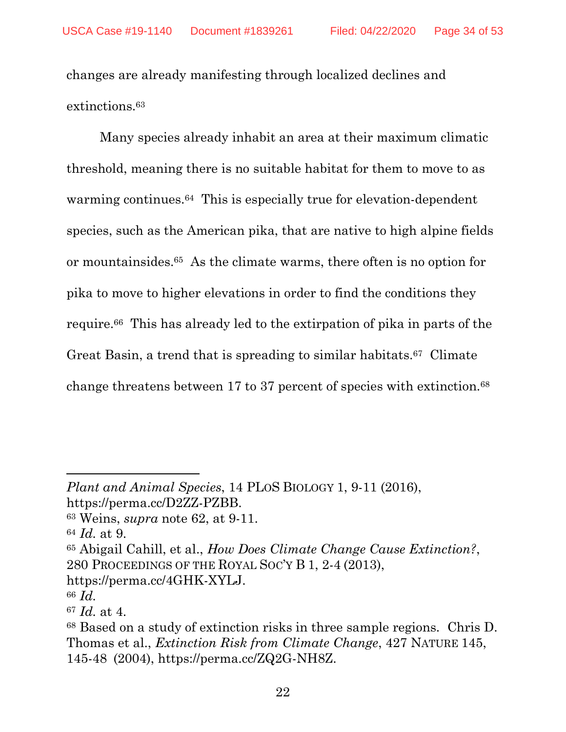changes are already manifesting through localized declines and extinctions.<sup>63</sup>

<span id="page-33-0"></span>Many species already inhabit an area at their maximum climatic threshold, meaning there is no suitable habitat for them to move to as warming continues.<sup>64</sup> This is especially true for elevation-dependent species, such as the American pika, that are native to high alpine fields or mountainsides.<sup>65</sup> As the climate warms, there often is no option for pika to move to higher elevations in order to find the conditions they require.<sup>66</sup> This has already led to the extirpation of pika in parts of the Great Basin, a trend that is spreading to similar habitats.<sup>67</sup> Climate change threatens between 17 to 37 percent of species with extinction.<sup>68</sup>

<sup>65</sup> Abigail Cahill, et al., *How Does Climate Change Cause Extinction?*, 280 PROCEEDINGS OF THE ROYAL SOC'Y B 1, 2-4 (2013),

*Plant and Animal Species*, 14 PLOS BIOLOGY 1, 9-11 (2016), https://perma.cc/D2ZZ-PZBB.

<sup>63</sup> Weins, *supra* note [62,](#page-32-0) at 9-11.

<sup>64</sup> *Id.* at 9.

https://perma.cc/4GHK-XYLJ.

<sup>66</sup> *Id.*

<sup>67</sup> *Id.* at 4.

<sup>68</sup> Based on a study of extinction risks in three sample regions. Chris D. Thomas et al., *Extinction Risk from Climate Change*, 427 NATURE 145, 145-48 (2004), https://perma.cc/ZQ2G-NH8Z.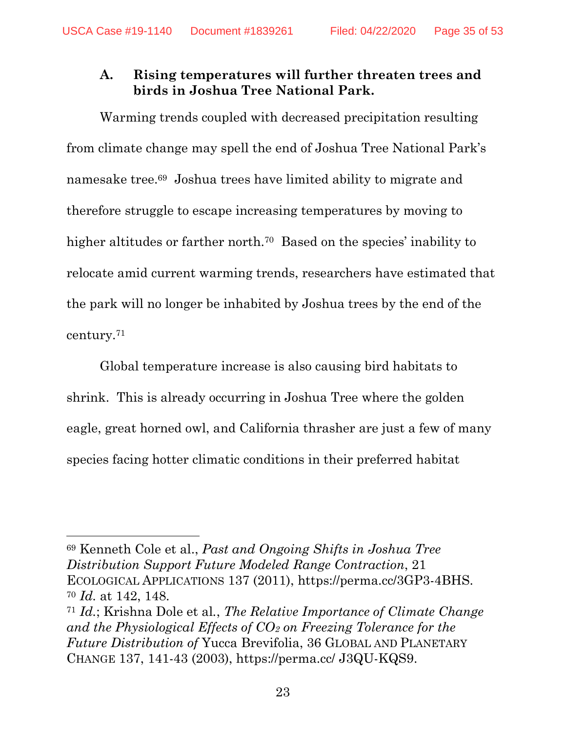## **A. Rising temperatures will further threaten trees and birds in Joshua Tree National Park.**

Warming trends coupled with decreased precipitation resulting from climate change may spell the end of Joshua Tree National Park's namesake tree.<sup>69</sup> Joshua trees have limited ability to migrate and therefore struggle to escape increasing temperatures by moving to higher altitudes or farther north.<sup>70</sup> Based on the species' inability to relocate amid current warming trends, researchers have estimated that the park will no longer be inhabited by Joshua trees by the end of the century.<sup>71</sup>

Global temperature increase is also causing bird habitats to shrink. This is already occurring in Joshua Tree where the golden eagle, great horned owl, and California thrasher are just a few of many species facing hotter climatic conditions in their preferred habitat

<sup>69</sup> Kenneth Cole et al., *Past and Ongoing Shifts in Joshua Tree Distribution Support Future Modeled Range Contraction*, 21 ECOLOGICAL APPLICATIONS 137 (2011), https://perma.cc/3GP3-4BHS. <sup>70</sup> *Id.* at 142, 148.

<sup>71</sup> *Id.*; Krishna Dole et al*.*, *The Relative Importance of Climate Change and the Physiological Effects of CO<sup>2</sup> on Freezing Tolerance for the Future Distribution of* Yucca Brevifolia, 36 GLOBAL AND PLANETARY CHANGE 137, 141-43 (2003), https://perma.cc/ J3QU-KQS9.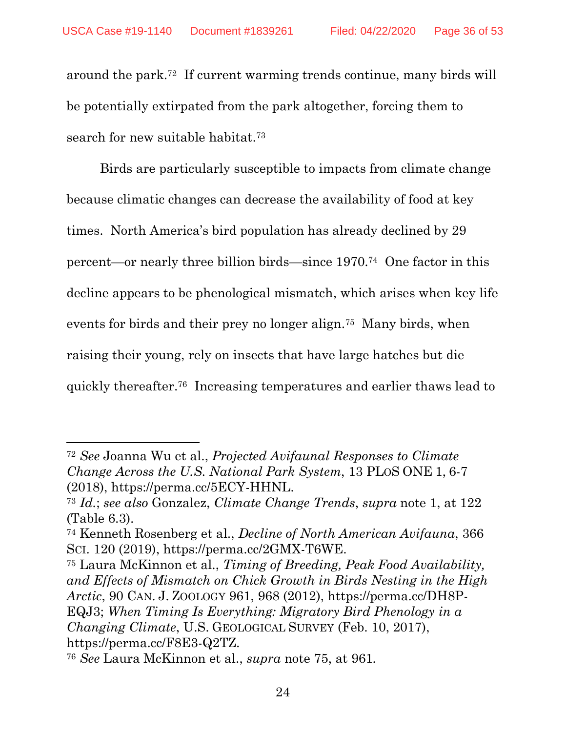around the park. <sup>72</sup> If current warming trends continue, many birds will be potentially extirpated from the park altogether, forcing them to search for new suitable habitat.<sup>73</sup>

Birds are particularly susceptible to impacts from climate change because climatic changes can decrease the availability of food at key times. North America's bird population has already declined by 29 percent—or nearly three billion birds—since 1970.<sup>74</sup> One factor in this decline appears to be phenological mismatch, which arises when key life events for birds and their prey no longer align.<sup>75</sup> Many birds, when raising their young, rely on insects that have large hatches but die quickly thereafter.<sup>76</sup> Increasing temperatures and earlier thaws lead to

<sup>75</sup> Laura McKinnon et al., *Timing of Breeding, Peak Food Availability, and Effects of Mismatch on Chick Growth in Birds Nesting in the High Arctic*, 90 CAN. J. ZOOLOGY 961, 968 (2012), https://perma.cc/DH8P-EQJ3; *When Timing Is Everything: Migratory Bird Phenology in a Changing Climate*, U.S. GEOLOGICAL SURVEY (Feb. 10, 2017), https://perma.cc/F8E3-Q2TZ.

<span id="page-35-0"></span> $\overline{a}$ 

<sup>72</sup> *See* Joanna Wu et al., *Projected Avifaunal Responses to Climate Change Across the U.S. National Park System*, 13 PLOS ONE 1, 6-7 (2018), https://perma.cc/5ECY-HHNL.

<sup>73</sup> *Id.*; *see also* Gonzalez, *Climate Change Trends*, *supra* note [1,](#page-14-1) at 122 (Table 6.3).

<sup>74</sup> Kenneth Rosenberg et al., *Decline of North American Avifauna*, 366 SCI. 120 (2019), https://perma.cc/2GMX-T6WE.

<sup>76</sup> *See* Laura McKinnon et al., *supra* note [75,](#page-35-0) at 961*.*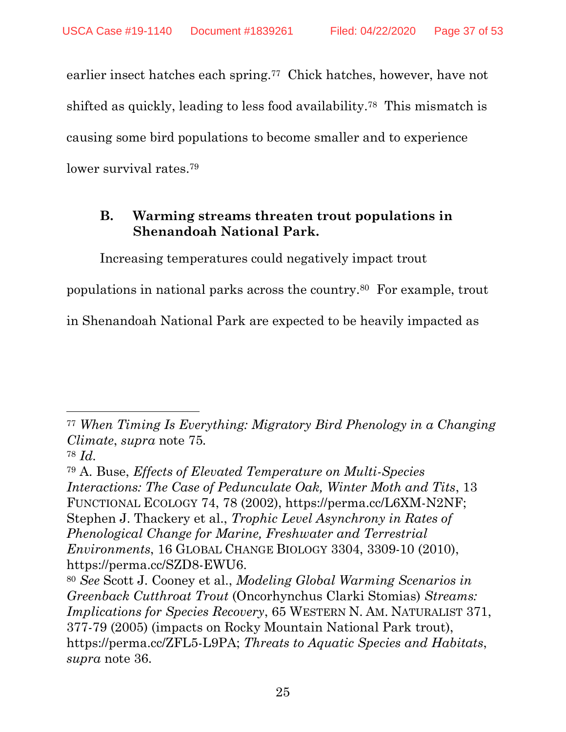earlier insect hatches each spring.<sup>77</sup> Chick hatches, however, have not shifted as quickly, leading to less food availability.<sup>78</sup> This mismatch is causing some bird populations to become smaller and to experience lower survival rates. 79

## **B. Warming streams threaten trout populations in Shenandoah National Park.**

Increasing temperatures could negatively impact trout

populations in national parks across the country.<sup>80</sup> For example, trout

in Shenandoah National Park are expected to be heavily impacted as

 $\overline{a}$ 

<sup>77</sup> *When Timing Is Everything: Migratory Bird Phenology in a Changing Climate*, *supra* note [75](#page-35-0)*.*

<sup>78</sup> *Id.*

<sup>79</sup> A. Buse, *Effects of Elevated Temperature on Multi-Species Interactions: The Case of Pedunculate Oak, Winter Moth and Tits*, 13 FUNCTIONAL ECOLOGY 74, 78 (2002), https://perma.cc/L6XM-N2NF; Stephen J. Thackery et al., *Trophic Level Asynchrony in Rates of Phenological Change for Marine, Freshwater and Terrestrial Environments*, 16 GLOBAL CHANGE BIOLOGY 3304, 3309-10 (2010), https://perma.cc/SZD8-EWU6.

<sup>80</sup> *See* Scott J. Cooney et al., *Modeling Global Warming Scenarios in Greenback Cutthroat Trout* (Oncorhynchus Clarki Stomias) *Streams: Implications for Species Recovery*, 65 WESTERN N. AM. NATURALIST 371, 377-79 (2005) (impacts on Rocky Mountain National Park trout), https://perma.cc/ZFL5-L9PA; *Threats to Aquatic Species and Habitats*, *supra* note [36.](#page-26-0)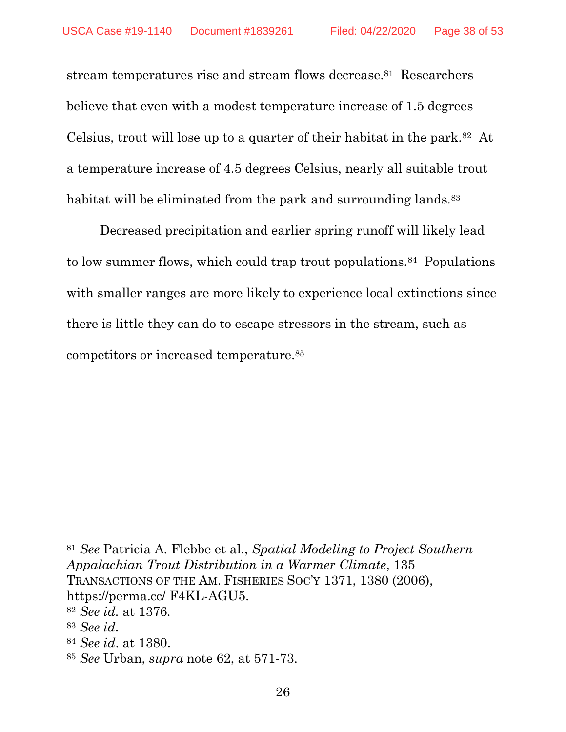stream temperatures rise and stream flows decrease. <sup>81</sup> Researchers believe that even with a modest temperature increase of 1.5 degrees Celsius, trout will lose up to a quarter of their habitat in the park.<sup>82</sup> At a temperature increase of 4.5 degrees Celsius, nearly all suitable trout habitat will be eliminated from the park and surrounding lands.<sup>83</sup>

Decreased precipitation and earlier spring runoff will likely lead to low summer flows, which could trap trout populations.<sup>84</sup> Populations with smaller ranges are more likely to experience local extinctions since there is little they can do to escape stressors in the stream, such as competitors or increased temperature.<sup>85</sup>

<sup>83</sup> *See id.*

 $\overline{\phantom{a}}$ 

<sup>84</sup> *See id*. at 1380.

<sup>81</sup> *See* Patricia A. Flebbe et al., *Spatial Modeling to Project Southern Appalachian Trout Distribution in a Warmer Climate*, 135 TRANSACTIONS OF THE AM. FISHERIES SOC'Y 1371, 1380 (2006), https://perma.cc/ F4KL-AGU5. <sup>82</sup> *See id.* at 1376*.*

<sup>85</sup> *See* Urban, *supra* note [62,](#page-32-0) at 571-73.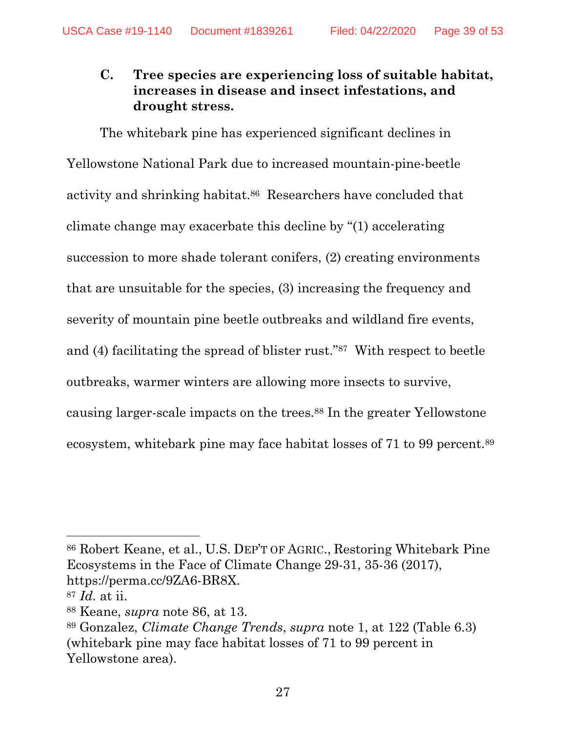## <span id="page-38-0"></span>**C. Tree species are experiencing loss of suitable habitat, increases in disease and insect infestations, and drought stress.**

The whitebark pine has experienced significant declines in Yellowstone National Park due to increased mountain-pine-beetle activity and shrinking habitat.86 Researchers have concluded that climate change may exacerbate this decline by "(1) accelerating succession to more shade tolerant conifers, (2) creating environments that are unsuitable for the species, (3) increasing the frequency and severity of mountain pine beetle outbreaks and wildland fire events, and (4) facilitating the spread of blister rust."<sup>87</sup> With respect to beetle outbreaks, warmer winters are allowing more insects to survive, causing larger-scale impacts on the trees.<sup>88</sup> In the greater Yellowstone ecosystem, whitebark pine may face habitat losses of 71 to 99 percent.<sup>89</sup>

<sup>86</sup> Robert Keane, et al., U.S. DEP'T OF AGRIC., Restoring Whitebark Pine Ecosystems in the Face of Climate Change 29-31, 35-36 (2017), https://perma.cc/9ZA6-BR8X.

<sup>87</sup> *Id.* at ii.

<sup>88</sup> Keane, *supra* note [86,](#page-38-0) at 13.

<sup>89</sup> Gonzalez, *Climate Change Trends*, *supra* note 1, at 122 (Table 6.3) (whitebark pine may face habitat losses of 71 to 99 percent in Yellowstone area).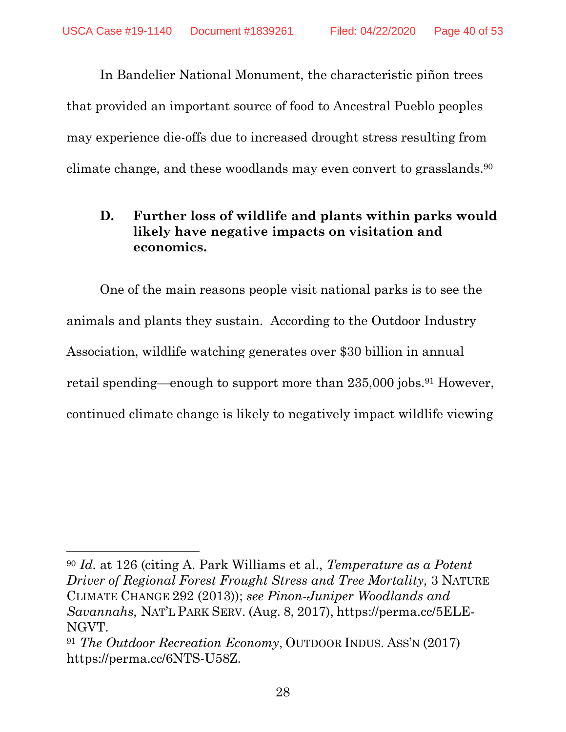In Bandelier National Monument, the characteristic piñon trees that provided an important source of food to Ancestral Pueblo peoples may experience die-offs due to increased drought stress resulting from climate change, and these woodlands may even convert to grasslands.<sup>90</sup>

## **D. Further loss of wildlife and plants within parks would likely have negative impacts on visitation and economics.**

One of the main reasons people visit national parks is to see the animals and plants they sustain. According to the Outdoor Industry Association, wildlife watching generates over \$30 billion in annual retail spending—enough to support more than 235,000 jobs.<sup>91</sup> However, continued climate change is likely to negatively impact wildlife viewing

l

<sup>90</sup> *Id.* at 126 (citing A. Park Williams et al., *Temperature as a Potent Driver of Regional Forest Frought Stress and Tree Mortality,* 3 NATURE CLIMATE CHANGE 292 (2013)); *see Pinon-Juniper Woodlands and Savannahs,* NAT'L PARK SERV. (Aug. 8, 2017), https://perma.cc/5ELE-NGVT.

<sup>91</sup> *The Outdoor Recreation Economy*, OUTDOOR INDUS. ASS'N (2017) https://perma.cc/6NTS-U58Z.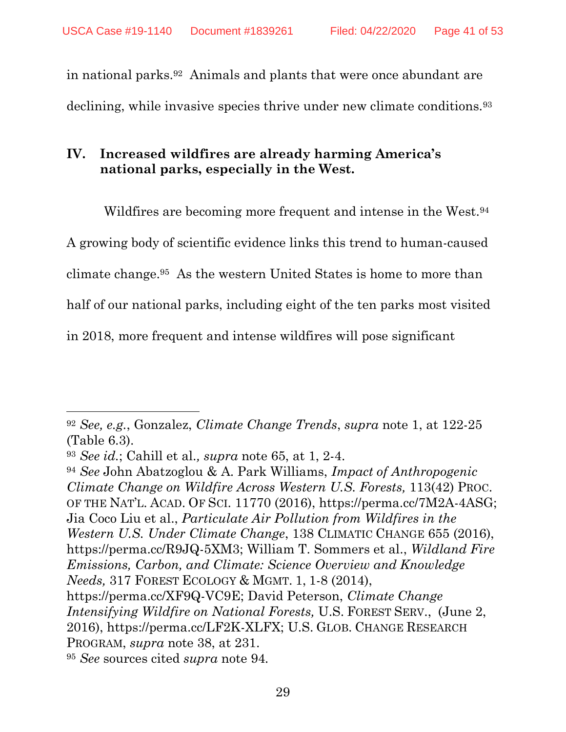in national parks.<sup>92</sup> Animals and plants that were once abundant are declining, while invasive species thrive under new climate conditions.<sup>93</sup>

# **IV. Increased wildfires are already harming America's national parks, especially in the West.**

<span id="page-40-0"></span>Wildfires are becoming more frequent and intense in the West.<sup>94</sup> A growing body of scientific evidence links this trend to human-caused climate change.<sup>95</sup> As the western United States is home to more than half of our national parks, including eight of the ten parks most visited in 2018, more frequent and intense wildfires will pose significant

 $\overline{a}$ 

<sup>94</sup> *See* John Abatzoglou & A. Park Williams, *Impact of Anthropogenic Climate Change on Wildfire Across Western U.S. Forests,* 113(42) PROC. OF THE NAT'L. ACAD. OF SCI. 11770 (2016), https://perma.cc/7M2A-4ASG; Jia Coco Liu et al., *Particulate Air Pollution from Wildfires in the Western U.S. Under Climate Change*, 138 CLIMATIC CHANGE 655 (2016), https://perma.cc/R9JQ-5XM3; William T. Sommers et al., *Wildland Fire Emissions, Carbon, and Climate: Science Overview and Knowledge Needs,* 317 FOREST ECOLOGY & MGMT. 1, 1-8 (2014), https://perma.cc/XF9Q-VC9E; David Peterson, *Climate Change Intensifying Wildfire on National Forests,* U.S. FOREST SERV., (June 2, 2016), https://perma.cc/LF2K-XLFX; U.S. GLOB. CHANGE RESEARCH PROGRAM, *supra* note [38,](#page-27-0) at 231.

<sup>95</sup> *See* sources cited *supra* note [94](#page-40-0)*.*

<sup>92</sup> *See, e.g.*, Gonzalez, *Climate Change Trends*, *supra* note [1,](#page-14-1) at 122-25 (Table 6.3).

<sup>93</sup> *See id.*; Cahill et al.*, supra* note [65,](#page-33-0) at 1, 2-4.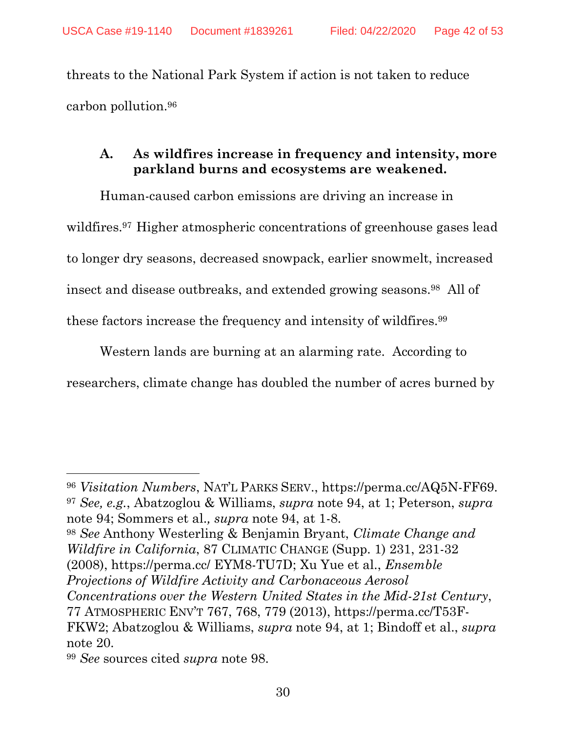threats to the National Park System if action is not taken to reduce carbon pollution.<sup>96</sup>

# <span id="page-41-0"></span>**A. As wildfires increase in frequency and intensity, more parkland burns and ecosystems are weakened.**

Human-caused carbon emissions are driving an increase in wildfires.<sup>97</sup> Higher atmospheric concentrations of greenhouse gases lead to longer dry seasons, decreased snowpack, earlier snowmelt, increased insect and disease outbreaks, and extended growing seasons.<sup>98</sup> All of these factors increase the frequency and intensity of wildfires.<sup>99</sup>

Western lands are burning at an alarming rate. According to researchers, climate change has doubled the number of acres burned by

<sup>96</sup> *Visitation Numbers*, NAT'L PARKS SERV., https://perma.cc/AQ5N-FF69. <sup>97</sup> *See, e.g.*, Abatzoglou & Williams, *supra* note 94, at 1; Peterson, *supra*  note 94; Sommers et al.*, supra* note [94,](#page-40-0) at 1-8.

<sup>98</sup> *See* Anthony Westerling & Benjamin Bryant, *Climate Change and Wildfire in California*, 87 CLIMATIC CHANGE (Supp. 1) 231, 231-32 (2008), https://perma.cc/ EYM8-TU7D; Xu Yue et al., *Ensemble Projections of Wildfire Activity and Carbonaceous Aerosol Concentrations over the Western United States in the Mid-21st Century*,

77 ATMOSPHERIC ENV'T 767, 768, 779 (2013), https://perma.cc/T53F-FKW2; Abatzoglou & Williams, *supra* note 94, at 1; Bindoff et al., *supra*  note [20.](#page-22-0)

<sup>99</sup> *See* sources cited *supra* note [98.](#page-41-0)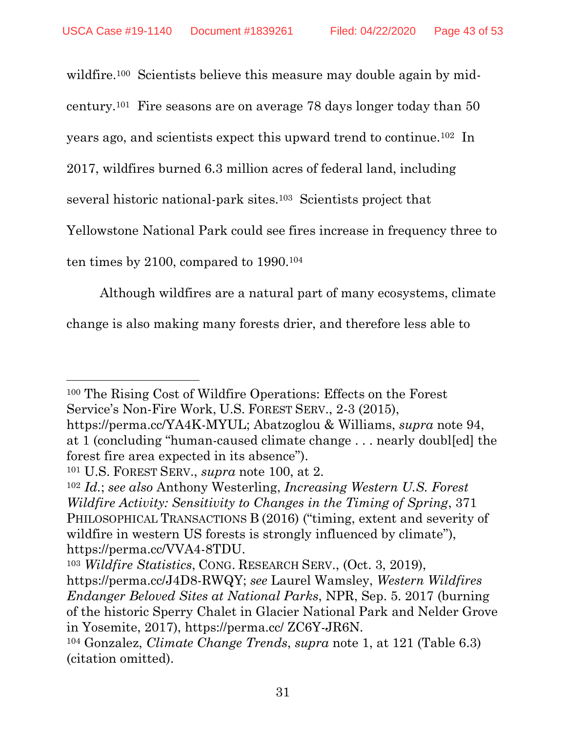<span id="page-42-0"></span>wildfire.<sup>100</sup> Scientists believe this measure may double again by mid-

century.<sup>101</sup> Fire seasons are on average 78 days longer today than 50

years ago, and scientists expect this upward trend to continue.<sup>102</sup> In

2017, wildfires burned 6.3 million acres of federal land, including

several historic national-park sites.<sup>103</sup> Scientists project that

Yellowstone National Park could see fires increase in frequency three to

ten times by 2100, compared to 1990.<sup>104</sup>

Although wildfires are a natural part of many ecosystems, climate

change is also making many forests drier, and therefore less able to

 $\overline{\phantom{a}}$ <sup>100</sup> The Rising Cost of Wildfire Operations: Effects on the Forest Service's Non-Fire Work, U.S. FOREST SERV., 2-3 (2015),

https://perma.cc/YA4K-MYUL; Abatzoglou & Williams, *supra* note 94, at 1 (concluding "human-caused climate change . . . nearly doubl[ed] the forest fire area expected in its absence").

<sup>101</sup> U.S. FOREST SERV., *supra* note [100,](#page-42-0) at 2.

<sup>102</sup> *Id.*; *see also* Anthony Westerling, *Increasing Western U.S. Forest Wildfire Activity: Sensitivity to Changes in the Timing of Spring*, 371 PHILOSOPHICAL TRANSACTIONS B (2016) ("timing, extent and severity of wildfire in western US forests is strongly influenced by climate"), https://perma.cc/VVA4-8TDU.

<sup>103</sup> *Wildfire Statistics*, CONG. RESEARCH SERV., (Oct. 3, 2019),

https://perma.cc/J4D8-RWQY; *see* Laurel Wamsley, *Western Wildfires Endanger Beloved Sites at National Parks*, NPR, Sep. 5. 2017 (burning of the historic Sperry Chalet in Glacier National Park and Nelder Grove in Yosemite, 2017), https://perma.cc/ ZC6Y-JR6N.

<sup>104</sup> Gonzalez, *Climate Change Trends*, *supra* note 1, at 121 (Table 6.3) (citation omitted).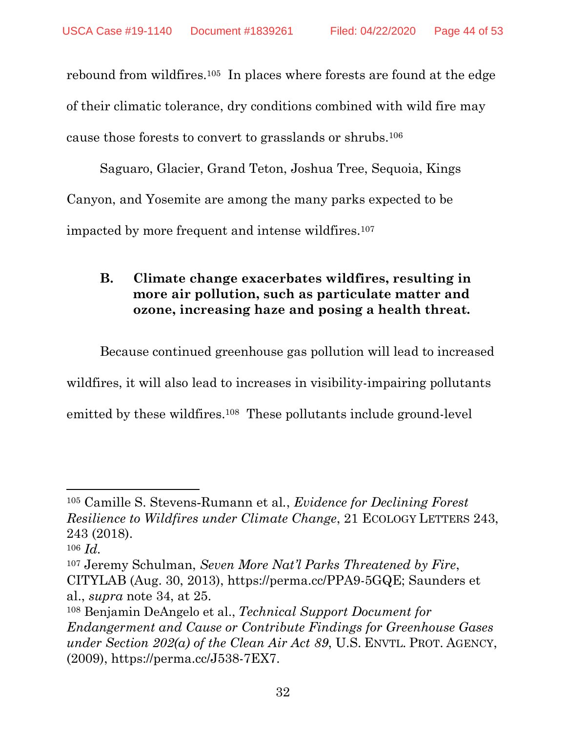rebound from wildfires.<sup>105</sup> In places where forests are found at the edge of their climatic tolerance, dry conditions combined with wild fire may cause those forests to convert to grasslands or shrubs.<sup>106</sup>

Saguaro, Glacier, Grand Teton, Joshua Tree, Sequoia, Kings Canyon, and Yosemite are among the many parks expected to be impacted by more frequent and intense wildfires.<sup>107</sup>

# **B. Climate change exacerbates wildfires, resulting in more air pollution, such as particulate matter and ozone, increasing haze and posing a health threat.**

Because continued greenhouse gas pollution will lead to increased

wildfires, it will also lead to increases in visibility-impairing pollutants

emitted by these wildfires.<sup>108</sup> These pollutants include ground-level

<sup>105</sup> Camille S. Stevens‐Rumann et al*.*, *Evidence for Declining Forest Resilience to Wildfires under Climate Change*, 21 ECOLOGY LETTERS 243, 243 (2018).

<sup>106</sup> *Id.*

<sup>107</sup> Jeremy Schulman, *Seven More Nat'l Parks Threatened by Fire*, CITYLAB (Aug. 30, 2013), https://perma.cc/PPA9-5GQE; Saunders et al., *supra* note [34,](#page-26-1) at 25.

<sup>108</sup> Benjamin DeAngelo et al., *Technical Support Document for Endangerment and Cause or Contribute Findings for Greenhouse Gases under Section 202(a) of the Clean Air Act 89*, U.S. ENVTL. PROT. AGENCY, (2009), https://perma.cc/J538-7EX7.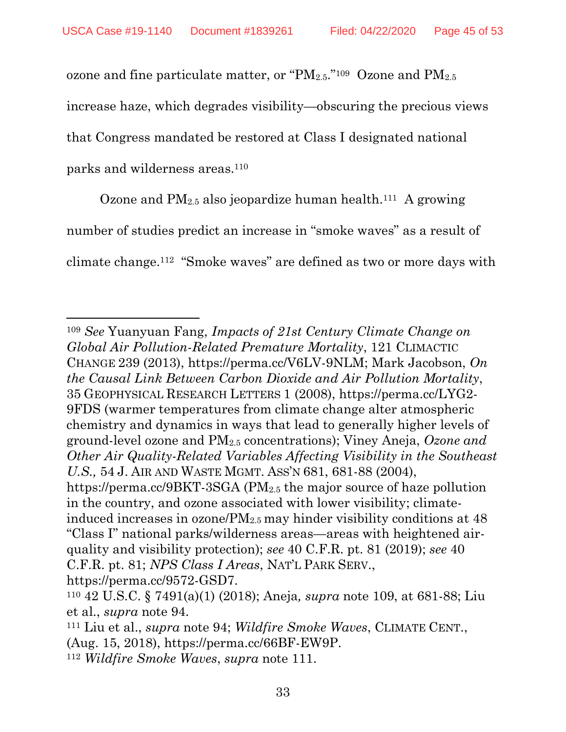<span id="page-44-0"></span>ozone and fine particulate matter, or " $PM_{2.5}$ ."<sup>109</sup> Ozone and  $PM_{2.5}$ 

increase haze, which degrades visibility—obscuring the precious views

that Congress mandated be restored at Class I designated national

parks and wilderness areas. 110

 $\overline{\phantom{a}}$ 

<span id="page-44-1"></span>Ozone and  $PM_{2.5}$  also jeopardize human health.<sup>111</sup> A growing

number of studies predict an increase in "smoke waves" as a result of

climate change.<sup>112</sup> "Smoke waves" are defined as two or more days with

<sup>109</sup> *See* Yuanyuan Fang, *Impacts of 21st Century Climate Change on Global Air Pollution-Related Premature Mortality*, 121 CLIMACTIC CHANGE 239 (2013), https://perma.cc/V6LV-9NLM; Mark Jacobson, *On the Causal Link Between Carbon Dioxide and Air Pollution Mortality*, 35 GEOPHYSICAL RESEARCH LETTERS 1 (2008), https://perma.cc/LYG2- 9FDS (warmer temperatures from climate change alter atmospheric chemistry and dynamics in ways that lead to generally higher levels of ground-level ozone and PM2.5 concentrations); Viney Aneja, *Ozone and Other Air Quality-Related Variables Affecting Visibility in the Southeast U.S.,* 54 J. AIR AND WASTE MGMT. ASS'N 681, 681-88 (2004), https://perma.cc/9BKT-3SGA (PM<sub>2.5</sub> the major source of haze pollution in the country, and ozone associated with lower visibility; climateinduced increases in ozone/ $PM_{2.5}$  may hinder visibility conditions at 48 "Class I" national parks/wilderness areas—areas with heightened airquality and visibility protection); *see* 40 C.F.R. pt. 81 (2019); *see* 40 C.F.R. pt. 81; *NPS Class I Areas*, NAT'L PARK SERV., https://perma.cc/9572-GSD7.

<sup>110</sup> 42 U.S.C. § 7491(a)(1) (2018); Aneja*, supra* note [109,](#page-44-0) at 681-88; Liu et al., *supra* note [94.](#page-40-0)

<sup>111</sup> Liu et al., *supra* note [94;](#page-40-0) *Wildfire Smoke Waves*, CLIMATE CENT., (Aug. 15, 2018), https://perma.cc/66BF-EW9P. <sup>112</sup> *Wildfire Smoke Waves*, *supra* note [111.](#page-44-1)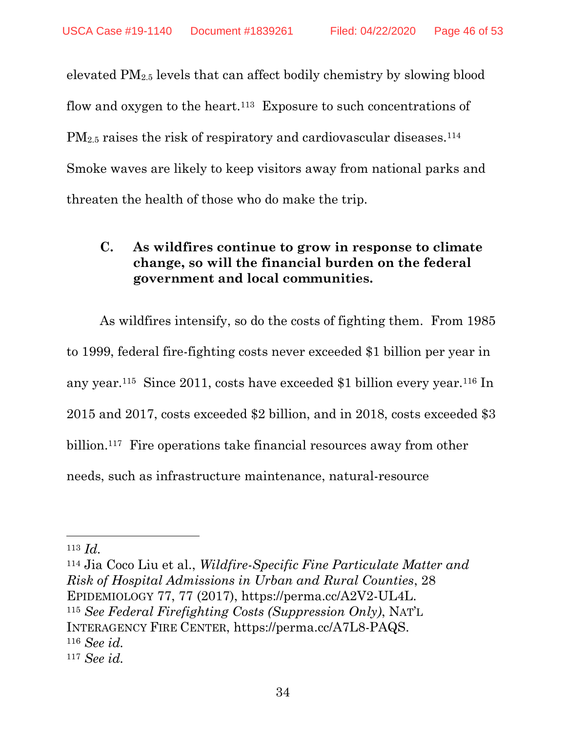elevated PM2.5 levels that can affect bodily chemistry by slowing blood flow and oxygen to the heart.<sup>113</sup> Exposure to such concentrations of PM<sub>2.5</sub> raises the risk of respiratory and cardiovascular diseases.<sup>114</sup> Smoke waves are likely to keep visitors away from national parks and threaten the health of those who do make the trip.

## <span id="page-45-0"></span>**C. As wildfires continue to grow in response to climate change, so will the financial burden on the federal government and local communities.**

As wildfires intensify, so do the costs of fighting them. From 1985 to 1999, federal fire-fighting costs never exceeded \$1 billion per year in any year. <sup>115</sup> Since 2011, costs have exceeded \$1 billion every year.<sup>116</sup> In 2015 and 2017, costs exceeded \$2 billion, and in 2018, costs exceeded \$3 billion.<sup>117</sup> Fire operations take financial resources away from other needs, such as infrastructure maintenance, natural-resource

 $\overline{\phantom{a}}$ 

<sup>114</sup> Jia Coco Liu et al., *Wildfire-Specific Fine Particulate Matter and Risk of Hospital Admissions in Urban and Rural Counties*, 28 EPIDEMIOLOGY 77, 77 (2017), https://perma.cc/A2V2-UL4L. <sup>115</sup> *See Federal Firefighting Costs (Suppression Only)*, NAT'L INTERAGENCY FIRE CENTER, https://perma.cc/A7L8-PAQS. <sup>116</sup> *See id.* <sup>117</sup> *See id.*

<sup>113</sup> *Id.*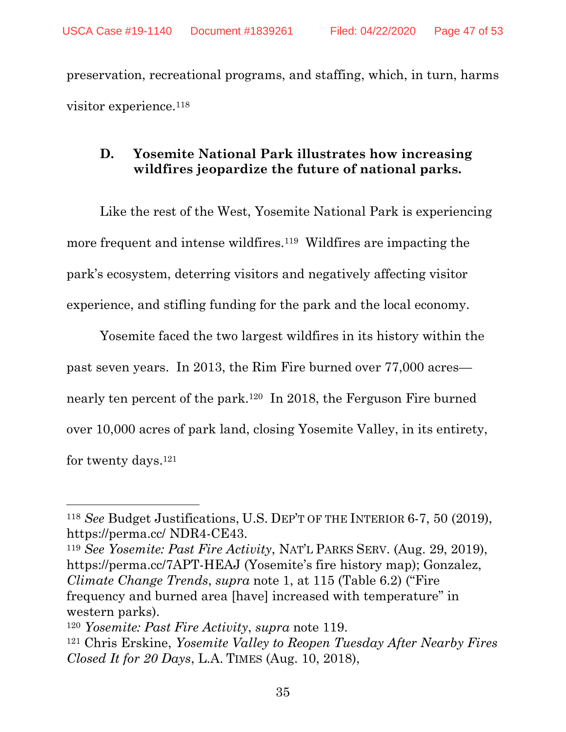preservation, recreational programs, and staffing, which, in turn, harms visitor experience. 118

# <span id="page-46-0"></span>**D. Yosemite National Park illustrates how increasing wildfires jeopardize the future of national parks.**

Like the rest of the West, Yosemite National Park is experiencing more frequent and intense wildfires.<sup>119</sup> Wildfires are impacting the park's ecosystem, deterring visitors and negatively affecting visitor experience, and stifling funding for the park and the local economy.

Yosemite faced the two largest wildfires in its history within the past seven years. In 2013, the Rim Fire burned over 77,000 acres nearly ten percent of the park.<sup>120</sup> In 2018, the Ferguson Fire burned over 10,000 acres of park land, closing Yosemite Valley, in its entirety, for twenty days.<sup>121</sup>

<sup>119</sup> *See Yosemite: Past Fire Activity*, NAT'L PARKS SERV. (Aug. 29, 2019), https://perma.cc/7APT-HEAJ (Yosemite's fire history map); Gonzalez, *Climate Change Trends*, *supra* note [1,](#page-14-1) at 115 (Table 6.2) ("Fire frequency and burned area [have] increased with temperature" in western parks).

<sup>118</sup> *See* Budget Justifications, U.S. DEP'T OF THE INTERIOR 6-7, 50 (2019), https://perma.cc/ NDR4-CE43.

<sup>120</sup> *Yosemite: Past Fire Activity*, *supra* note [119.](#page-46-0)

<sup>121</sup> Chris Erskine, *Yosemite Valley to Reopen Tuesday After Nearby Fires Closed It for 20 Days*, L.A. TIMES (Aug. 10, 2018),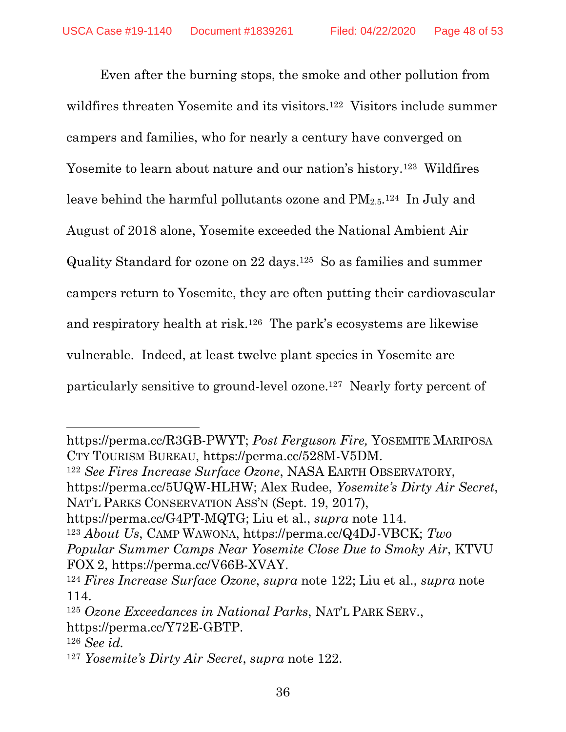<span id="page-47-0"></span>Even after the burning stops, the smoke and other pollution from wildfires threaten Yosemite and its visitors.<sup>122</sup> Visitors include summer campers and families, who for nearly a century have converged on Yosemite to learn about nature and our nation's history.<sup>123</sup> Wildfires leave behind the harmful pollutants ozone and  $PM_{2.5}.$ <sup>124</sup> In July and August of 2018 alone, Yosemite exceeded the National Ambient Air Quality Standard for ozone on 22 days.<sup>125</sup> So as families and summer campers return to Yosemite, they are often putting their cardiovascular and respiratory health at risk.<sup>126</sup> The park's ecosystems are likewise vulnerable. Indeed, at least twelve plant species in Yosemite are particularly sensitive to ground-level ozone.<sup>127</sup> Nearly forty percent of

<sup>122</sup> *See Fires Increase Surface Ozone*, NASA EARTH OBSERVATORY, https://perma.cc/5UQW-HLHW; Alex Rudee, *Yosemite's Dirty Air Secret*, NAT'L PARKS CONSERVATION ASS'N (Sept. 19, 2017),

https://perma.cc/G4PT-MQTG; Liu et al., *supra* note [114.](#page-45-0)

<sup>123</sup> *About Us*, CAMP WAWONA, https://perma.cc/Q4DJ-VBCK; *Two Popular Summer Camps Near Yosemite Close Due to Smoky Air*, KTVU FOX 2, https://perma.cc/V66B-XVAY.

l

https://perma.cc/R3GB-PWYT; *Post Ferguson Fire,* YOSEMITE MARIPOSA CTY TOURISM BUREAU, https://perma.cc/528M-V5DM.

<sup>124</sup> *Fires Increase Surface Ozone*, *supra* note [122;](#page-47-0) Liu et al., *supra* note [114.](#page-45-0)

<sup>125</sup> *Ozone Exceedances in National Parks*, NAT'L PARK SERV., https://perma.cc/Y72E-GBTP.

<sup>126</sup> *See id.*

<sup>127</sup> *Yosemite's Dirty Air Secret*, *supra* note [122.](#page-47-0)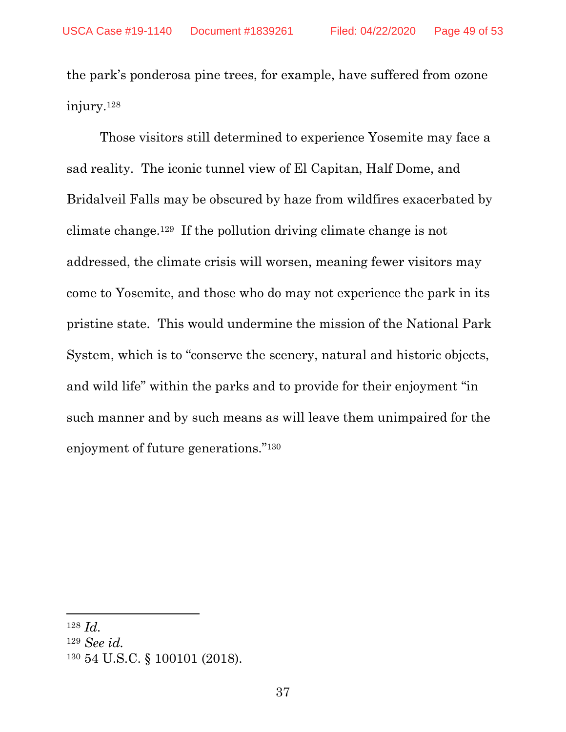the park's ponderosa pine trees, for example, have suffered from ozone injury.<sup>128</sup>

Those visitors still determined to experience Yosemite may face a sad reality. The iconic tunnel view of El Capitan, Half Dome, and Bridalveil Falls may be obscured by haze from wildfires exacerbated by climate change. <sup>129</sup> If the pollution driving climate change is not addressed, the climate crisis will worsen, meaning fewer visitors may come to Yosemite, and those who do may not experience the park in its pristine state. This would undermine the mission of the National Park System, which is to "conserve the scenery, natural and historic objects, and wild life" within the parks and to provide for their enjoyment "in such manner and by such means as will leave them unimpaired for the enjoyment of future generations."<sup>130</sup>

<sup>128</sup> *Id.*

<sup>129</sup> *See id.*

<sup>130</sup> 54 U.S.C. § 100101 (2018).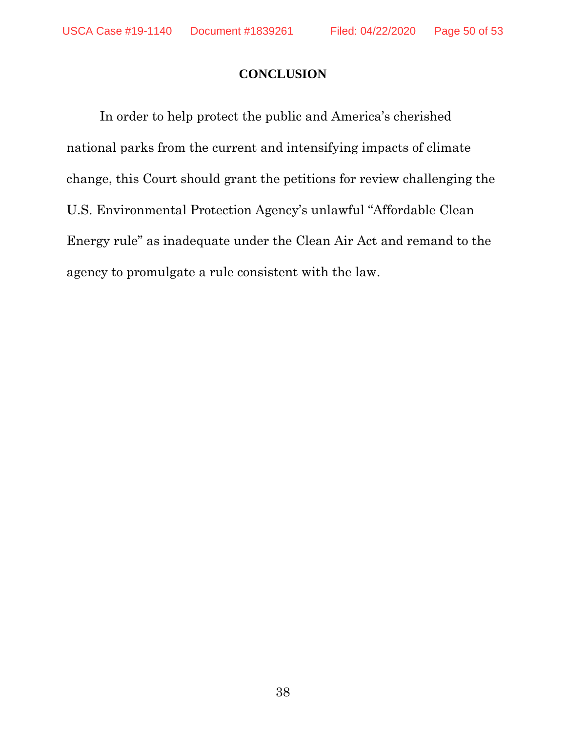#### **CONCLUSION**

In order to help protect the public and America's cherished national parks from the current and intensifying impacts of climate change, this Court should grant the petitions for review challenging the U.S. Environmental Protection Agency's unlawful "Affordable Clean Energy rule" as inadequate under the Clean Air Act and remand to the agency to promulgate a rule consistent with the law.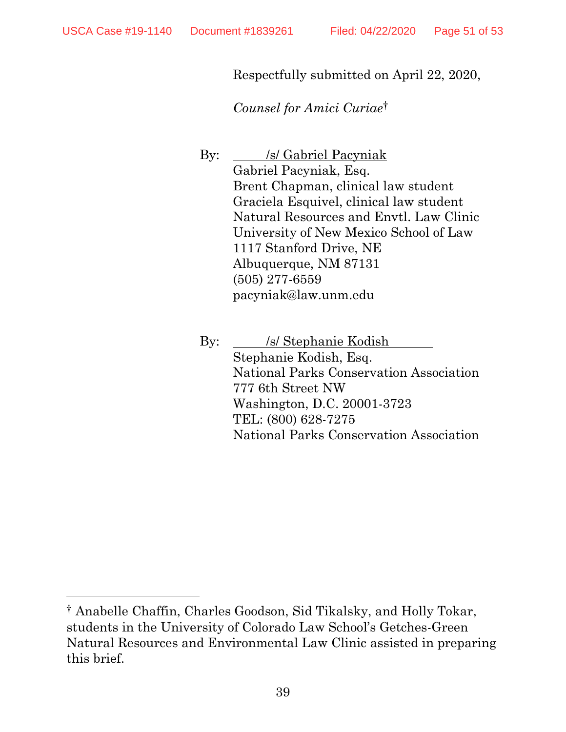$\overline{\phantom{a}}$ 

Respectfully submitted on April 22, 2020,

*Counsel for Amici Curiae*†

By: */s/ Gabriel Pacyniak* Gabriel Pacyniak, Esq. Brent Chapman, clinical law student Graciela Esquivel, clinical law student Natural Resources and Envtl. Law Clinic University of New Mexico School of Law 1117 Stanford Drive, NE Albuquerque, NM 87131 (505) 277-6559 pacyniak@law.unm.edu

By: /s/ Stephanie Kodish Stephanie Kodish, Esq. National Parks Conservation Association 777 6th Street NW Washington, D.C. 20001-3723 TEL: (800) 628-7275 National Parks Conservation Association

<sup>†</sup> Anabelle Chaffin, Charles Goodson, Sid Tikalsky, and Holly Tokar, students in the University of Colorado Law School's Getches-Green Natural Resources and Environmental Law Clinic assisted in preparing this brief.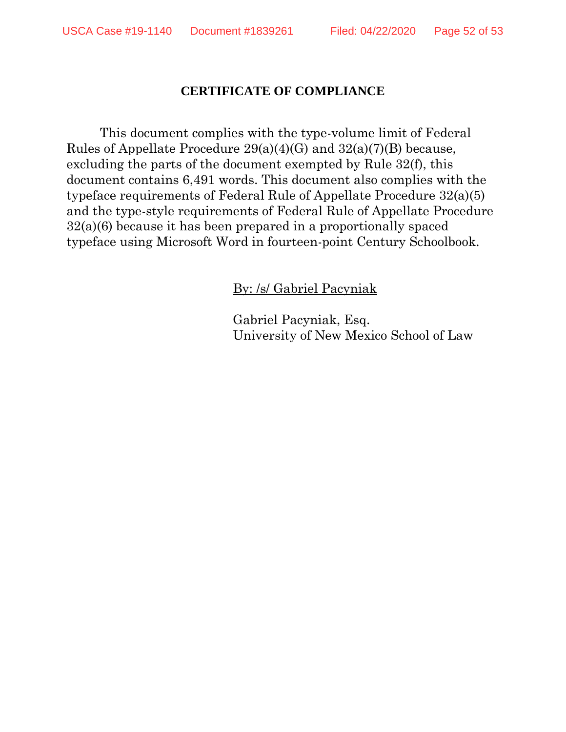#### **CERTIFICATE OF COMPLIANCE**

This document complies with the type-volume limit of Federal Rules of Appellate Procedure 29(a)(4)(G) and 32(a)(7)(B) because, excluding the parts of the document exempted by Rule 32(f), this document contains 6,491 words. This document also complies with the typeface requirements of Federal Rule of Appellate Procedure 32(a)(5) and the type-style requirements of Federal Rule of Appellate Procedure 32(a)(6) because it has been prepared in a proportionally spaced typeface using Microsoft Word in fourteen-point Century Schoolbook.

By: /s/ Gabriel Pacyniak

Gabriel Pacyniak, Esq. University of New Mexico School of Law